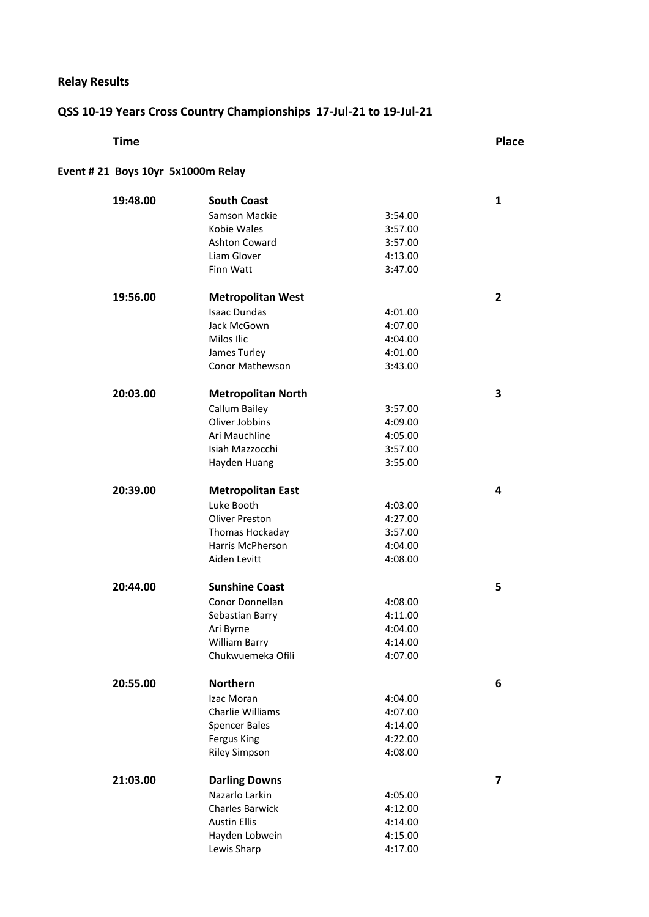### **Relay Results**

### **QSS 10-19 Years Cross Country Championships 17-Jul-21 to 19-Jul-21**

| <b>Time</b>                       |                           |         | <b>Place</b> |
|-----------------------------------|---------------------------|---------|--------------|
| Event #21 Boys 10yr 5x1000m Relay |                           |         |              |
| 19:48.00                          | <b>South Coast</b>        |         | $\mathbf{1}$ |
|                                   | Samson Mackie             | 3:54.00 |              |
|                                   | Kobie Wales               | 3:57.00 |              |
|                                   | <b>Ashton Coward</b>      | 3:57.00 |              |
|                                   | Liam Glover               | 4:13.00 |              |
|                                   | Finn Watt                 | 3:47.00 |              |
| 19:56.00                          | <b>Metropolitan West</b>  |         | $\mathbf{2}$ |
|                                   | <b>Isaac Dundas</b>       | 4:01.00 |              |
|                                   | Jack McGown               | 4:07.00 |              |
|                                   | Milos Ilic                | 4:04.00 |              |
|                                   | James Turley              | 4:01.00 |              |
|                                   | <b>Conor Mathewson</b>    | 3:43.00 |              |
| 20:03.00                          | <b>Metropolitan North</b> |         | 3            |
|                                   | Callum Bailey             | 3:57.00 |              |
|                                   | Oliver Jobbins            | 4:09.00 |              |
|                                   | Ari Mauchline             | 4:05.00 |              |
|                                   | Isiah Mazzocchi           | 3:57.00 |              |
|                                   | Hayden Huang              | 3:55.00 |              |
| 20:39.00                          | <b>Metropolitan East</b>  |         | 4            |
|                                   | Luke Booth                | 4:03.00 |              |
|                                   | Oliver Preston            | 4:27.00 |              |
|                                   | Thomas Hockaday           | 3:57.00 |              |
|                                   | Harris McPherson          | 4:04.00 |              |
|                                   | Aiden Levitt              | 4:08.00 |              |
| 20:44.00                          | <b>Sunshine Coast</b>     |         | 5            |
|                                   | Conor Donnellan           | 4:08.00 |              |
|                                   | Sebastian Barry           | 4:11.00 |              |
|                                   | Ari Byrne                 | 4:04.00 |              |
|                                   | William Barry             | 4:14.00 |              |
|                                   | Chukwuemeka Ofili         | 4:07.00 |              |
| 20:55.00                          | <b>Northern</b>           |         | 6            |
|                                   | Izac Moran                | 4:04.00 |              |
|                                   | Charlie Williams          | 4:07.00 |              |
|                                   | <b>Spencer Bales</b>      | 4:14.00 |              |
|                                   | Fergus King               | 4:22.00 |              |
|                                   | <b>Riley Simpson</b>      | 4:08.00 |              |
| 21:03.00                          | <b>Darling Downs</b>      |         | 7            |
|                                   | Nazarlo Larkin            | 4:05.00 |              |
|                                   | <b>Charles Barwick</b>    | 4:12.00 |              |
|                                   | <b>Austin Ellis</b>       | 4:14.00 |              |
|                                   | Hayden Lobwein            | 4:15.00 |              |
|                                   | Lewis Sharp               | 4:17.00 |              |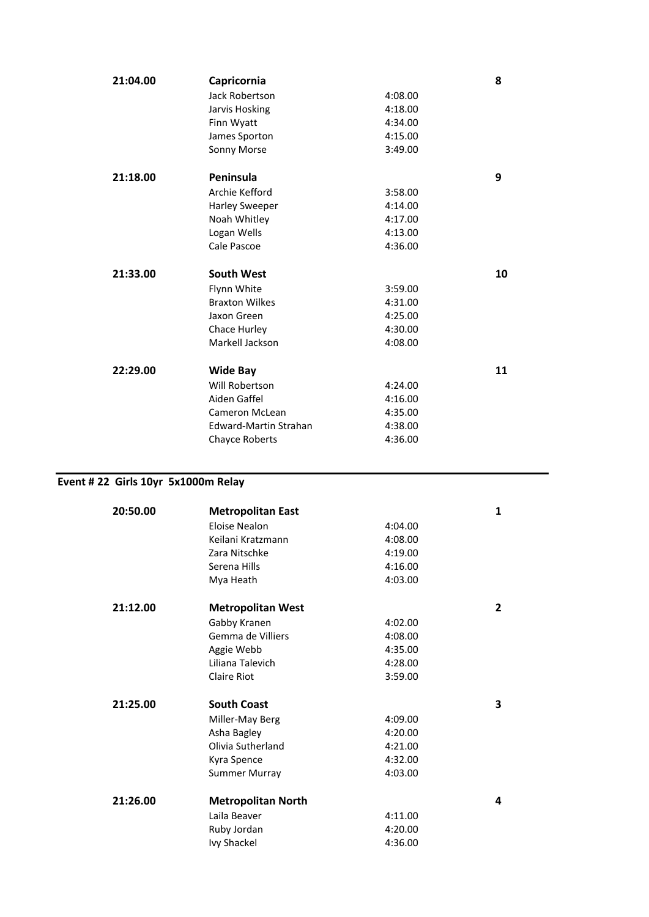| 21:04.00 | Capricornia                       |         | 8  |
|----------|-----------------------------------|---------|----|
|          | Jack Robertson                    | 4:08.00 |    |
|          | Jarvis Hosking                    | 4:18.00 |    |
|          | Finn Wyatt                        | 4:34.00 |    |
|          | James Sporton                     | 4:15.00 |    |
|          | Sonny Morse                       | 3:49.00 |    |
| 21:18.00 | Peninsula                         |         | 9  |
|          | Archie Kefford                    | 3:58.00 |    |
|          | Harley Sweeper                    | 4:14.00 |    |
|          | Noah Whitley                      | 4:17.00 |    |
|          | Logan Wells                       | 4:13.00 |    |
|          | Cale Pascoe                       | 4:36.00 |    |
|          |                                   |         |    |
| 21:33.00 | <b>South West</b>                 |         | 10 |
|          |                                   |         |    |
|          | Flynn White                       | 3:59.00 |    |
|          | <b>Braxton Wilkes</b>             | 4:31.00 |    |
|          | Jaxon Green                       | 4:25.00 |    |
|          | Chace Hurley                      | 4:30.00 |    |
|          | Markell Jackson                   | 4:08.00 |    |
| 22:29.00 |                                   |         | 11 |
|          | <b>Wide Bay</b><br>Will Robertson | 4:24.00 |    |
|          | Aiden Gaffel                      | 4:16.00 |    |
|          | Cameron McLean                    | 4:35.00 |    |
|          | <b>Edward-Martin Strahan</b>      | 4:38.00 |    |
|          | <b>Chayce Roberts</b>             | 4:36.00 |    |

### **Event # 22 Girls 10yr 5x1000m Relay**

| 20:50.00 | <b>Metropolitan East</b>  |         | $\mathbf{1}$   |
|----------|---------------------------|---------|----------------|
|          | Eloise Nealon             | 4:04.00 |                |
|          | Keilani Kratzmann         | 4:08.00 |                |
|          | Zara Nitschke             | 4:19.00 |                |
|          | Serena Hills              | 4:16.00 |                |
|          | Mya Heath                 | 4:03.00 |                |
| 21:12.00 | <b>Metropolitan West</b>  |         | $\overline{2}$ |
|          | Gabby Kranen              | 4:02.00 |                |
|          | Gemma de Villiers         | 4:08.00 |                |
|          | Aggie Webb                | 4:35.00 |                |
|          | Liliana Talevich          | 4:28.00 |                |
|          | <b>Claire Riot</b>        | 3:59.00 |                |
| 21:25.00 | <b>South Coast</b>        |         | 3              |
|          | Miller-May Berg           | 4:09.00 |                |
|          | Asha Bagley               | 4:20.00 |                |
|          | Olivia Sutherland         | 4:21.00 |                |
|          | Kyra Spence               | 4:32.00 |                |
|          | <b>Summer Murray</b>      | 4:03.00 |                |
| 21:26.00 | <b>Metropolitan North</b> |         | 4              |
|          | Laila Beaver              | 4:11.00 |                |
|          | Ruby Jordan               | 4:20.00 |                |
|          | Ivy Shackel               | 4:36.00 |                |
|          |                           |         |                |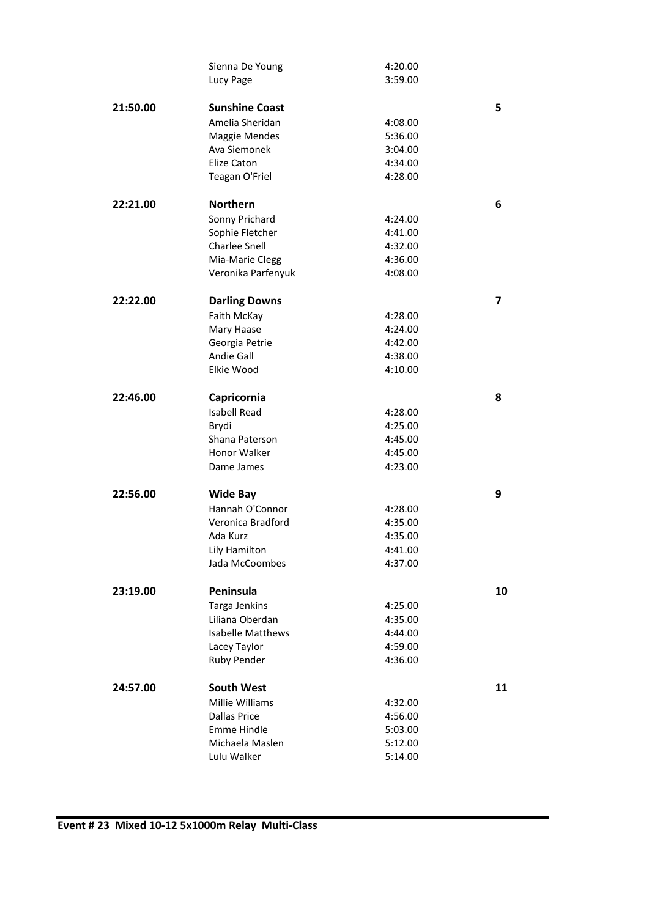|          | Sienna De Young<br>Lucy Page | 4:20.00<br>3:59.00 |                         |
|----------|------------------------------|--------------------|-------------------------|
|          |                              |                    |                         |
| 21:50.00 | <b>Sunshine Coast</b>        |                    | 5                       |
|          | Amelia Sheridan              | 4:08.00            |                         |
|          | Maggie Mendes                | 5:36.00            |                         |
|          | Ava Siemonek                 | 3:04.00            |                         |
|          | <b>Elize Caton</b>           | 4:34.00            |                         |
|          | Teagan O'Friel               | 4:28.00            |                         |
| 22:21.00 | <b>Northern</b>              |                    | 6                       |
|          | Sonny Prichard               | 4:24.00            |                         |
|          | Sophie Fletcher              | 4:41.00            |                         |
|          | <b>Charlee Snell</b>         | 4:32.00            |                         |
|          | Mia-Marie Clegg              | 4:36.00            |                         |
|          | Veronika Parfenyuk           | 4:08.00            |                         |
| 22:22.00 | <b>Darling Downs</b>         |                    | $\overline{\mathbf{z}}$ |
|          | Faith McKay                  | 4:28.00            |                         |
|          | Mary Haase                   | 4:24.00            |                         |
|          | Georgia Petrie               | 4:42.00            |                         |
|          | <b>Andie Gall</b>            | 4:38.00            |                         |
|          | Elkie Wood                   | 4:10.00            |                         |
| 22:46.00 | Capricornia                  |                    | 8                       |
|          | <b>Isabell Read</b>          | 4:28.00            |                         |
|          | Brydi                        | 4:25.00            |                         |
|          | Shana Paterson               | 4:45.00            |                         |
|          | Honor Walker                 | 4:45.00            |                         |
|          | Dame James                   | 4:23.00            |                         |
| 22:56.00 | <b>Wide Bay</b>              |                    | 9                       |
|          | Hannah O'Connor              | 4:28.00            |                         |
|          | Veronica Bradford            | 4:35.00            |                         |
|          | Ada Kurz                     | 4:35.00            |                         |
|          | Lily Hamilton                | 4:41.00            |                         |
|          | Jada McCoombes               | 4:37.00            |                         |
| 23:19.00 | Peninsula                    |                    | 10                      |
|          | Targa Jenkins                | 4:25.00            |                         |
|          | Liliana Oberdan              | 4:35.00            |                         |
|          | <b>Isabelle Matthews</b>     | 4:44.00            |                         |
|          | Lacey Taylor                 | 4:59.00            |                         |
|          | Ruby Pender                  | 4:36.00            |                         |
| 24:57.00 | <b>South West</b>            |                    | 11                      |
|          | Millie Williams              | 4:32.00            |                         |
|          |                              |                    |                         |
|          | <b>Dallas Price</b>          | 4:56.00            |                         |
|          | <b>Emme Hindle</b>           | 5:03.00            |                         |
|          | Michaela Maslen              | 5:12.00            |                         |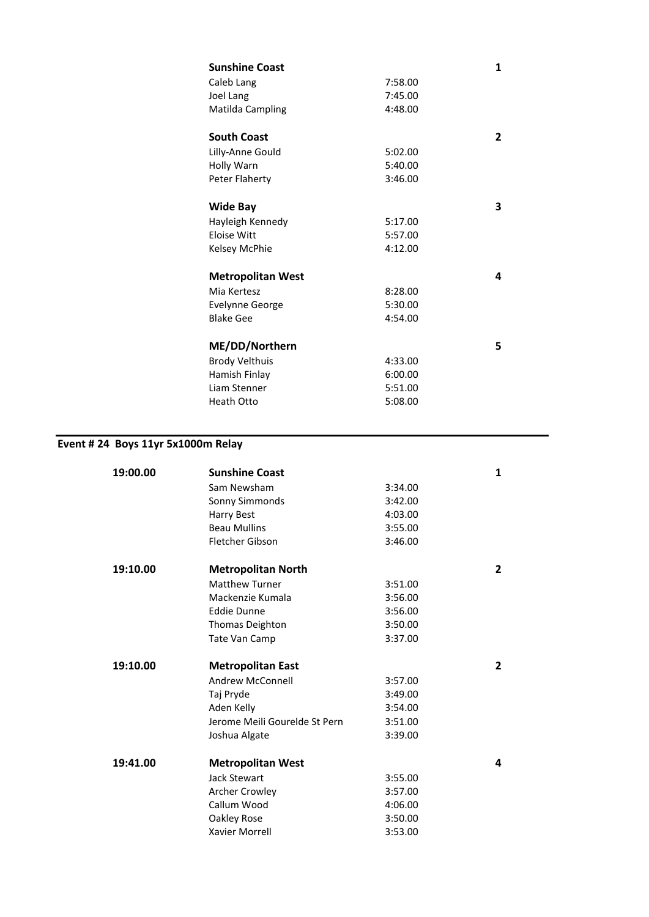| <b>Sunshine Coast</b>    |         | 1 |
|--------------------------|---------|---|
| Caleb Lang               | 7:58.00 |   |
| Joel Lang                | 7:45.00 |   |
| Matilda Campling         | 4:48.00 |   |
|                          |         |   |
| <b>South Coast</b>       |         | 2 |
| Lilly-Anne Gould         | 5:02.00 |   |
| Holly Warn               | 5:40.00 |   |
| Peter Flaherty           | 3:46.00 |   |
|                          |         |   |
| <b>Wide Bay</b>          |         | 3 |
| Hayleigh Kennedy         | 5:17.00 |   |
| Eloise Witt              | 5:57.00 |   |
| Kelsey McPhie            | 4:12.00 |   |
|                          |         |   |
| <b>Metropolitan West</b> |         | 4 |
| Mia Kertesz              | 8:28.00 |   |
| <b>Evelynne George</b>   | 5:30.00 |   |
| <b>Blake Gee</b>         | 4:54.00 |   |
|                          |         |   |
| ME/DD/Northern           |         | 5 |
| <b>Brody Velthuis</b>    | 4:33.00 |   |
| Hamish Finlay            | 6:00.00 |   |
| Liam Stenner             | 5:51.00 |   |
| Heath Otto               | 5:08.00 |   |
|                          |         |   |

## **Event # 24 Boys 11yr 5x1000m Relay**

| 19:00.00 | <b>Sunshine Coast</b>         |         | 1              |
|----------|-------------------------------|---------|----------------|
|          | Sam Newsham                   | 3:34.00 |                |
|          | Sonny Simmonds                | 3:42.00 |                |
|          | Harry Best                    | 4:03.00 |                |
|          | <b>Beau Mullins</b>           | 3:55.00 |                |
|          | <b>Fletcher Gibson</b>        | 3:46.00 |                |
| 19:10.00 | <b>Metropolitan North</b>     |         | $\overline{2}$ |
|          | <b>Matthew Turner</b>         | 3:51.00 |                |
|          | Mackenzie Kumala              | 3:56.00 |                |
|          | <b>Eddie Dunne</b>            | 3:56.00 |                |
|          | Thomas Deighton               | 3:50.00 |                |
|          | Tate Van Camp                 | 3:37.00 |                |
| 19:10.00 | <b>Metropolitan East</b>      |         | $\overline{2}$ |
|          | Andrew McConnell              | 3:57.00 |                |
|          | Taj Pryde                     | 3:49.00 |                |
|          | Aden Kelly                    | 3:54.00 |                |
|          | Jerome Meili Gourelde St Pern | 3:51.00 |                |
|          | Joshua Algate                 | 3:39.00 |                |
| 19:41.00 | <b>Metropolitan West</b>      |         | 4              |
|          | <b>Jack Stewart</b>           | 3:55.00 |                |
|          | <b>Archer Crowley</b>         | 3:57.00 |                |
|          | Callum Wood                   | 4:06.00 |                |
|          | Oakley Rose                   | 3:50.00 |                |
|          | Xavier Morrell                | 3:53.00 |                |
|          |                               |         |                |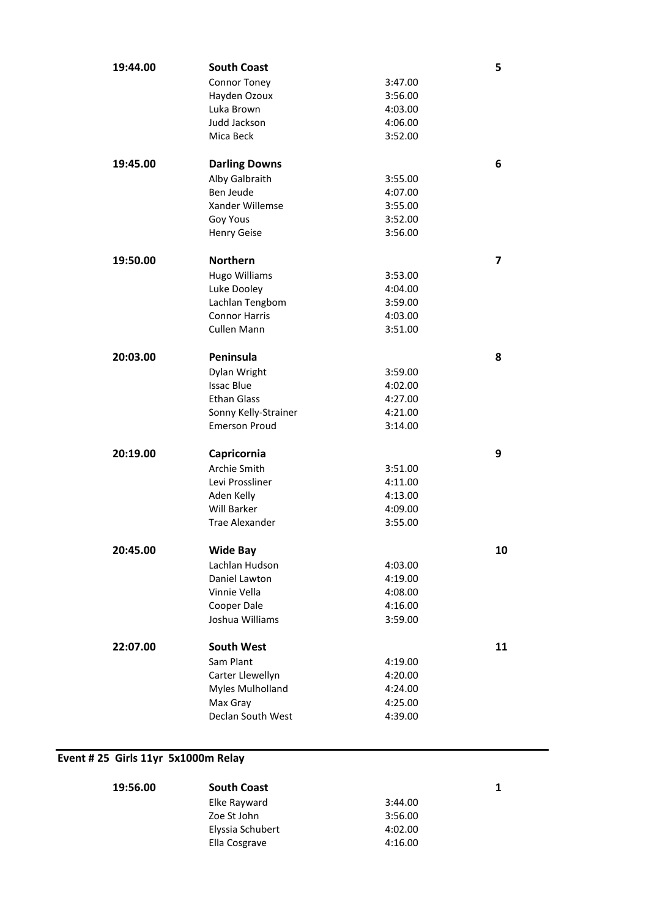| 19:44.00 | <b>South Coast</b>            |                    | 5  |
|----------|-------------------------------|--------------------|----|
|          | <b>Connor Toney</b>           | 3:47.00            |    |
|          | Hayden Ozoux                  | 3:56.00            |    |
|          | Luka Brown                    | 4:03.00            |    |
|          | Judd Jackson                  | 4:06.00            |    |
|          | Mica Beck                     | 3:52.00            |    |
|          |                               |                    |    |
| 19:45.00 | <b>Darling Downs</b>          |                    | 6  |
|          | Alby Galbraith                | 3:55.00            |    |
|          | Ben Jeude                     | 4:07.00            |    |
|          | Xander Willemse               | 3:55.00            |    |
|          | Goy Yous                      | 3:52.00            |    |
|          | Henry Geise                   | 3:56.00            |    |
| 19:50.00 | <b>Northern</b>               |                    | 7  |
|          | <b>Hugo Williams</b>          | 3:53.00            |    |
|          | Luke Dooley                   | 4:04.00            |    |
|          | Lachlan Tengbom               | 3:59.00            |    |
|          | <b>Connor Harris</b>          | 4:03.00            |    |
|          | Cullen Mann                   | 3:51.00            |    |
|          |                               |                    |    |
| 20:03.00 | Peninsula                     |                    | 8  |
|          | Dylan Wright                  | 3:59.00            |    |
|          | <b>Issac Blue</b>             | 4:02.00            |    |
|          | <b>Ethan Glass</b>            | 4:27.00            |    |
|          | Sonny Kelly-Strainer          | 4:21.00            |    |
|          | <b>Emerson Proud</b>          | 3:14.00            |    |
| 20:19.00 | Capricornia                   |                    | 9  |
|          | Archie Smith                  |                    |    |
|          |                               | 3:51.00            |    |
|          | Levi Prossliner               | 4:11.00            |    |
|          | Aden Kelly<br>Will Barker     | 4:13.00            |    |
|          | <b>Trae Alexander</b>         | 4:09.00<br>3:55.00 |    |
|          |                               |                    |    |
| 20:45.00 | Wide Bay                      |                    | 10 |
|          | Lachlan Hudson                | 4:03.00            |    |
|          | Daniel Lawton                 | 4:19.00            |    |
|          | Vinnie Vella                  | 4:08.00            |    |
|          | Cooper Dale                   | 4:16.00            |    |
|          | Joshua Williams               | 3:59.00            |    |
| 22:07.00 | <b>South West</b>             |                    | 11 |
|          | Sam Plant                     |                    |    |
|          |                               | 4:19.00            |    |
|          | Carter Llewellyn              | 4:20.00            |    |
|          | Myles Mulholland              | 4:24.00            |    |
|          | Max Gray<br>Declan South West | 4:25.00            |    |
|          |                               | 4:39.00            |    |

### **Event # 25 Girls 11yr 5x1000m Relay**

| 19:56.00 | <b>South Coast</b> |         | 1 |
|----------|--------------------|---------|---|
|          | Elke Rayward       | 3:44.00 |   |
|          | Zoe St John        | 3:56.00 |   |
|          | Elyssia Schubert   | 4:02.00 |   |
|          | Ella Cosgrave      | 4:16.00 |   |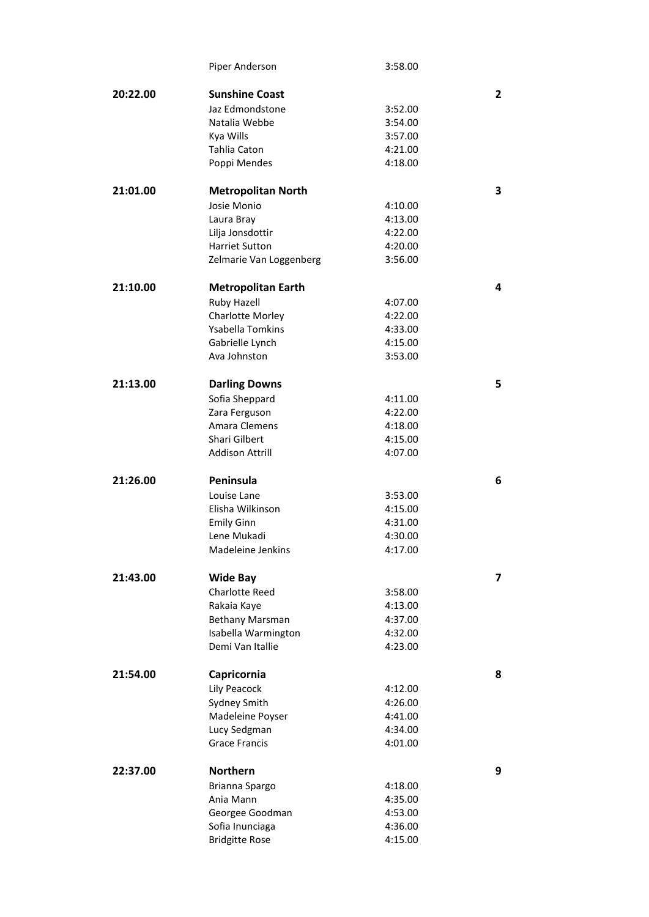|          | Piper Anderson            | 3:58.00 |                         |
|----------|---------------------------|---------|-------------------------|
| 20:22.00 | <b>Sunshine Coast</b>     |         | $\overline{2}$          |
|          | Jaz Edmondstone           | 3:52.00 |                         |
|          | Natalia Webbe             | 3:54.00 |                         |
|          |                           | 3:57.00 |                         |
|          | Kya Wills<br>Tahlia Caton | 4:21.00 |                         |
|          |                           |         |                         |
|          | Poppi Mendes              | 4:18.00 |                         |
| 21:01.00 | <b>Metropolitan North</b> |         | 3                       |
|          | Josie Monio               | 4:10.00 |                         |
|          | Laura Bray                | 4:13.00 |                         |
|          | Lilja Jonsdottir          | 4:22.00 |                         |
|          | <b>Harriet Sutton</b>     | 4:20.00 |                         |
|          | Zelmarie Van Loggenberg   | 3:56.00 |                         |
| 21:10.00 | <b>Metropolitan Earth</b> |         | 4                       |
|          | Ruby Hazell               | 4:07.00 |                         |
|          | Charlotte Morley          | 4:22.00 |                         |
|          | <b>Ysabella Tomkins</b>   | 4:33.00 |                         |
|          | Gabrielle Lynch           | 4:15.00 |                         |
|          | Ava Johnston              | 3:53.00 |                         |
|          |                           |         |                         |
| 21:13.00 | <b>Darling Downs</b>      |         | 5                       |
|          | Sofia Sheppard            | 4:11.00 |                         |
|          | Zara Ferguson             | 4:22.00 |                         |
|          | Amara Clemens             | 4:18.00 |                         |
|          | Shari Gilbert             | 4:15.00 |                         |
|          | <b>Addison Attrill</b>    | 4:07.00 |                         |
| 21:26.00 | Peninsula                 |         | 6                       |
|          | Louise Lane               | 3:53.00 |                         |
|          | Elisha Wilkinson          | 4:15.00 |                         |
|          | <b>Emily Ginn</b>         | 4:31.00 |                         |
|          | Lene Mukadi               | 4:30.00 |                         |
|          | Madeleine Jenkins         | 4:17.00 |                         |
| 21:43.00 | <b>Wide Bay</b>           |         | $\overline{\mathbf{z}}$ |
|          | <b>Charlotte Reed</b>     | 3:58.00 |                         |
|          | Rakaia Kaye               | 4:13.00 |                         |
|          | Bethany Marsman           | 4:37.00 |                         |
|          | Isabella Warmington       | 4:32.00 |                         |
|          | Demi Van Itallie          | 4:23.00 |                         |
| 21:54.00 | Capricornia               |         | 8                       |
|          | Lily Peacock              | 4:12.00 |                         |
|          | Sydney Smith              | 4:26.00 |                         |
|          | Madeleine Poyser          | 4:41.00 |                         |
|          | Lucy Sedgman              | 4:34.00 |                         |
|          | <b>Grace Francis</b>      | 4:01.00 |                         |
|          |                           |         |                         |
| 22:37.00 | <b>Northern</b>           |         | 9                       |
|          | Brianna Spargo            | 4:18.00 |                         |
|          | Ania Mann                 | 4:35.00 |                         |
|          | Georgee Goodman           | 4:53.00 |                         |
|          | Sofia Inunciaga           | 4:36.00 |                         |
|          | <b>Bridgitte Rose</b>     | 4:15.00 |                         |
|          |                           |         |                         |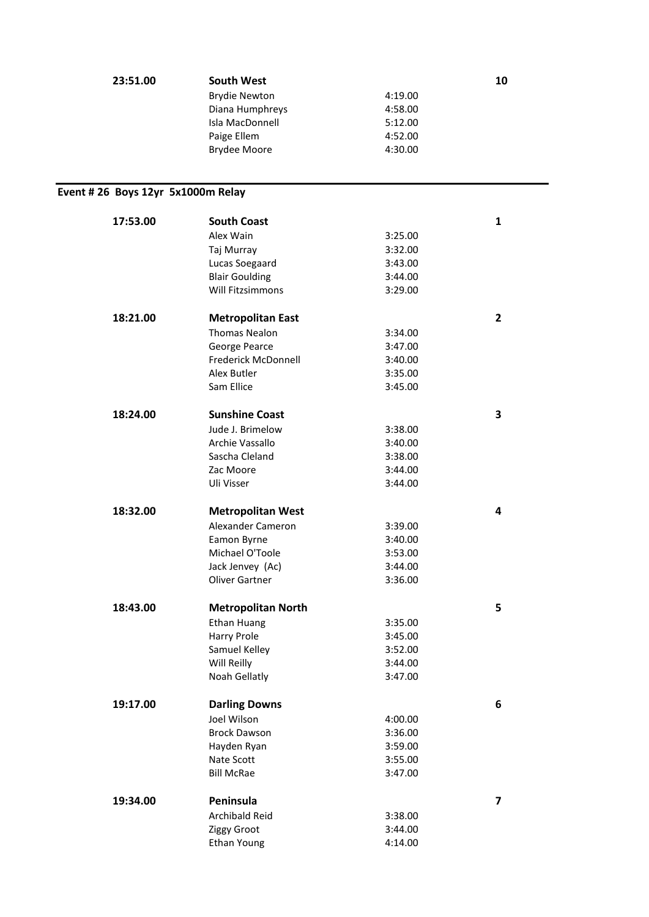| 23:51.00                           | <b>South West</b>         |         | 10                      |
|------------------------------------|---------------------------|---------|-------------------------|
|                                    | <b>Brydie Newton</b>      | 4:19.00 |                         |
|                                    | Diana Humphreys           | 4:58.00 |                         |
|                                    | Isla MacDonnell           | 5:12.00 |                         |
|                                    | Paige Ellem               | 4:52.00 |                         |
|                                    | <b>Brydee Moore</b>       | 4:30.00 |                         |
|                                    |                           |         |                         |
| Event # 26 Boys 12yr 5x1000m Relay |                           |         |                         |
|                                    |                           |         |                         |
| 17:53.00                           | <b>South Coast</b>        |         | 1                       |
|                                    | Alex Wain                 | 3:25.00 |                         |
|                                    | Taj Murray                | 3:32.00 |                         |
|                                    | Lucas Soegaard            | 3:43.00 |                         |
|                                    | <b>Blair Goulding</b>     | 3:44.00 |                         |
|                                    | <b>Will Fitzsimmons</b>   | 3:29.00 |                         |
| 18:21.00                           | <b>Metropolitan East</b>  |         | $\mathbf{2}$            |
|                                    | <b>Thomas Nealon</b>      | 3:34.00 |                         |
|                                    | George Pearce             | 3:47.00 |                         |
|                                    | Frederick McDonnell       | 3:40.00 |                         |
|                                    | Alex Butler               | 3:35.00 |                         |
|                                    | Sam Ellice                | 3:45.00 |                         |
|                                    |                           |         |                         |
| 18:24.00                           | <b>Sunshine Coast</b>     |         | 3                       |
|                                    | Jude J. Brimelow          | 3:38.00 |                         |
|                                    | Archie Vassallo           | 3:40.00 |                         |
|                                    | Sascha Cleland            | 3:38.00 |                         |
|                                    | Zac Moore                 | 3:44.00 |                         |
|                                    | Uli Visser                | 3:44.00 |                         |
| 18:32.00                           | <b>Metropolitan West</b>  |         | 4                       |
|                                    | Alexander Cameron         | 3:39.00 |                         |
|                                    | Eamon Byrne               | 3:40.00 |                         |
|                                    | Michael O'Toole           | 3:53.00 |                         |
|                                    | Jack Jenvey (Ac)          | 3:44.00 |                         |
|                                    | <b>Oliver Gartner</b>     | 3:36.00 |                         |
| 18:43.00                           | <b>Metropolitan North</b> |         | 5                       |
|                                    | <b>Ethan Huang</b>        | 3:35.00 |                         |
|                                    | Harry Prole               | 3:45.00 |                         |
|                                    | Samuel Kelley             | 3:52.00 |                         |
|                                    | Will Reilly               | 3:44.00 |                         |
|                                    | Noah Gellatly             | 3:47.00 |                         |
| 19:17.00                           | <b>Darling Downs</b>      |         | 6                       |
|                                    |                           |         |                         |
|                                    | Joel Wilson               | 4:00.00 |                         |
|                                    | <b>Brock Dawson</b>       | 3:36.00 |                         |
|                                    | Hayden Ryan               | 3:59.00 |                         |
|                                    | Nate Scott                | 3:55.00 |                         |
|                                    | <b>Bill McRae</b>         | 3:47.00 |                         |
| 19:34.00                           | Peninsula                 |         | $\overline{\mathbf{z}}$ |
|                                    | Archibald Reid            | 3:38.00 |                         |
|                                    | Ziggy Groot               | 3:44.00 |                         |
|                                    | Ethan Young               | 4:14.00 |                         |
|                                    |                           |         |                         |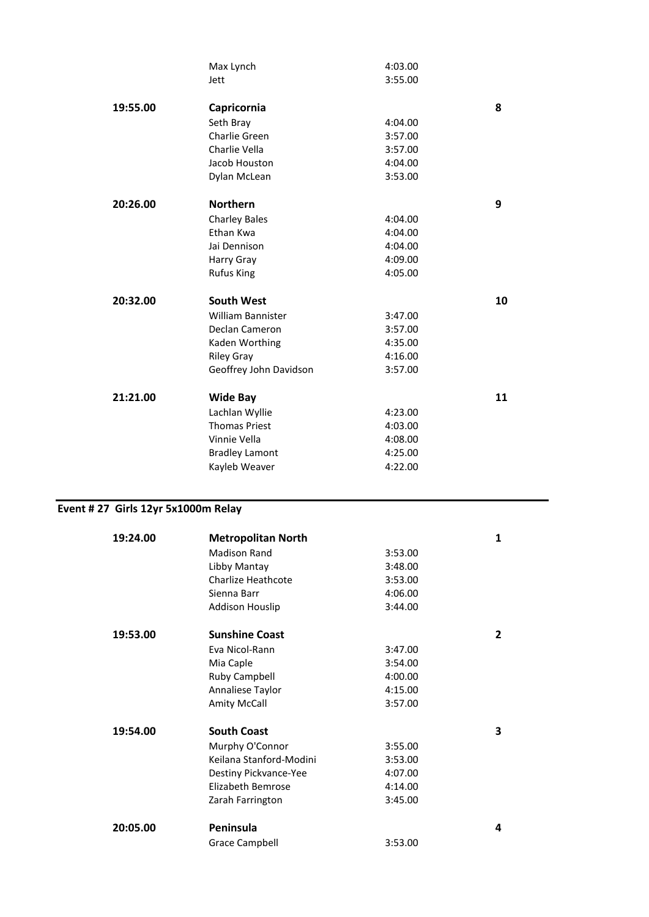|          | Max Lynch              | 4:03.00 |    |
|----------|------------------------|---------|----|
|          | Jett                   | 3:55.00 |    |
| 19:55.00 | Capricornia            |         | 8  |
|          | Seth Bray              | 4:04.00 |    |
|          | Charlie Green          | 3:57.00 |    |
|          | Charlie Vella          | 3:57.00 |    |
|          | Jacob Houston          | 4:04.00 |    |
|          | Dylan McLean           | 3:53.00 |    |
| 20:26.00 | <b>Northern</b>        |         | 9  |
|          | <b>Charley Bales</b>   | 4:04.00 |    |
|          | Ethan Kwa              | 4:04.00 |    |
|          | Jai Dennison           | 4:04.00 |    |
|          | Harry Gray             | 4:09.00 |    |
|          | <b>Rufus King</b>      | 4:05.00 |    |
| 20:32.00 | <b>South West</b>      |         | 10 |
|          | William Bannister      | 3:47.00 |    |
|          | Declan Cameron         | 3:57.00 |    |
|          | Kaden Worthing         | 4:35.00 |    |
|          | <b>Riley Gray</b>      | 4:16.00 |    |
|          | Geoffrey John Davidson | 3:57.00 |    |
| 21:21.00 | <b>Wide Bay</b>        |         | 11 |
|          | Lachlan Wyllie         | 4:23.00 |    |
|          | <b>Thomas Priest</b>   | 4:03.00 |    |
|          | Vinnie Vella           | 4:08.00 |    |
|          | <b>Bradley Lamont</b>  | 4:25.00 |    |
|          | Kayleb Weaver          | 4:22.00 |    |
|          |                        |         |    |

## **Event # 27 Girls 12yr 5x1000m Relay**

| 19:24.00 | <b>Metropolitan North</b> |         | $\mathbf{1}$   |
|----------|---------------------------|---------|----------------|
|          | <b>Madison Rand</b>       | 3:53.00 |                |
|          | Libby Mantay              | 3:48.00 |                |
|          | Charlize Heathcote        | 3:53.00 |                |
|          | Sienna Barr               | 4:06.00 |                |
|          | <b>Addison Houslip</b>    | 3:44.00 |                |
| 19:53.00 | <b>Sunshine Coast</b>     |         | $\overline{2}$ |
|          | Eva Nicol-Rann            | 3:47.00 |                |
|          | Mia Caple                 | 3:54.00 |                |
|          | <b>Ruby Campbell</b>      | 4:00.00 |                |
|          | Annaliese Taylor          | 4:15.00 |                |
|          | <b>Amity McCall</b>       | 3:57.00 |                |
| 19:54.00 | <b>South Coast</b>        |         | 3              |
|          | Murphy O'Connor           | 3:55.00 |                |
|          | Keilana Stanford-Modini   | 3:53.00 |                |
|          | Destiny Pickvance-Yee     | 4:07.00 |                |
|          | <b>Elizabeth Bemrose</b>  | 4:14.00 |                |
|          | Zarah Farrington          | 3:45.00 |                |
| 20:05.00 | Peninsula                 |         | 4              |
|          | Grace Campbell            | 3:53.00 |                |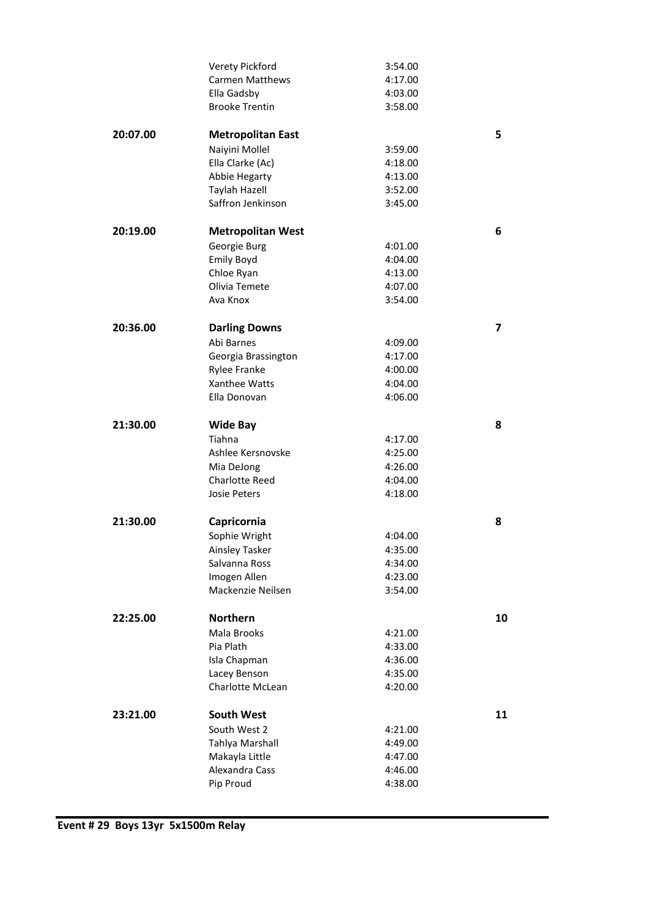|          | Verety Pickford                     | 3:54.00            |                          |
|----------|-------------------------------------|--------------------|--------------------------|
|          | <b>Carmen Matthews</b>              | 4:17.00            |                          |
|          | Ella Gadsby                         | 4:03.00            |                          |
|          | <b>Brooke Trentin</b>               | 3:58.00            |                          |
|          |                                     |                    |                          |
| 20:07.00 | <b>Metropolitan East</b>            |                    | 5                        |
|          | Naiyini Mollel                      | 3:59.00            |                          |
|          | Ella Clarke (Ac)                    | 4:18.00            |                          |
|          | Abbie Hegarty                       | 4:13.00            |                          |
|          | Taylah Hazell                       | 3:52.00            |                          |
|          | Saffron Jenkinson                   | 3:45.00            |                          |
|          |                                     |                    |                          |
| 20:19.00 | <b>Metropolitan West</b>            |                    | 6                        |
|          | Georgie Burg                        | 4:01.00            |                          |
|          | <b>Emily Boyd</b>                   | 4:04.00            |                          |
|          | Chloe Ryan                          | 4:13.00            |                          |
|          | Olivia Temete                       | 4:07.00            |                          |
|          | Ava Knox                            | 3:54.00            |                          |
|          |                                     |                    |                          |
| 20:36.00 | <b>Darling Downs</b>                |                    | $\overline{\phantom{a}}$ |
|          | Abi Barnes                          | 4:09.00            |                          |
|          | Georgia Brassington                 | 4:17.00            |                          |
|          | <b>Rylee Franke</b>                 | 4:00.00            |                          |
|          | Xanthee Watts                       | 4:04.00            |                          |
|          | Ella Donovan                        | 4:06.00            |                          |
|          |                                     |                    |                          |
| 21:30.00 | <b>Wide Bay</b>                     |                    | 8                        |
|          | Tiahna                              |                    |                          |
|          |                                     | 4:17.00            |                          |
|          | Ashlee Kersnovske                   | 4:25.00            |                          |
|          | Mia DeJong<br><b>Charlotte Reed</b> | 4:26.00            |                          |
|          | Josie Peters                        | 4:04.00            |                          |
|          |                                     | 4:18.00            |                          |
|          |                                     |                    |                          |
| 21:30.00 | Capricornia                         |                    | 8                        |
|          | Sophie Wright                       | 4:04.00            |                          |
|          | <b>Ainsley Tasker</b>               | 4:35.00            |                          |
|          | Salvanna Ross                       | 4:34.00            |                          |
|          | Imogen Allen                        | 4:23.00            |                          |
|          | Mackenzie Neilsen                   | 3:54.00            |                          |
| 22:25.00 | <b>Northern</b>                     |                    | 10                       |
|          |                                     |                    |                          |
|          | Mala Brooks                         | 4:21.00            |                          |
|          | Pia Plath                           | 4:33.00            |                          |
|          | Isla Chapman                        | 4:36.00            |                          |
|          | Lacey Benson                        | 4:35.00            |                          |
|          | Charlotte McLean                    | 4:20.00            |                          |
|          |                                     |                    |                          |
|          |                                     |                    |                          |
| 23:21.00 | <b>South West</b>                   |                    | 11                       |
|          | South West 2                        | 4:21.00            |                          |
|          | Tahlya Marshall                     | 4:49.00            |                          |
|          | Makayla Little                      | 4:47.00            |                          |
|          | Alexandra Cass<br>Pip Proud         | 4:46.00<br>4:38.00 |                          |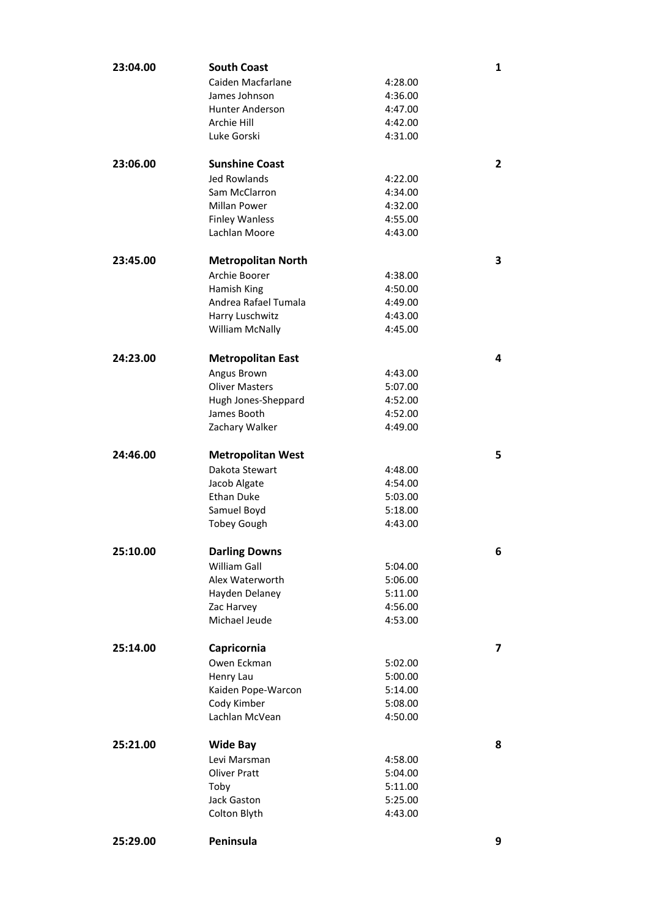| 23:04.00 | <b>South Coast</b>        |         | 1              |
|----------|---------------------------|---------|----------------|
|          | Caiden Macfarlane         | 4:28.00 |                |
|          | James Johnson             | 4:36.00 |                |
|          | <b>Hunter Anderson</b>    | 4:47.00 |                |
|          | Archie Hill               | 4:42.00 |                |
|          | Luke Gorski               | 4:31.00 |                |
| 23:06.00 | <b>Sunshine Coast</b>     |         | $\overline{2}$ |
|          | <b>Jed Rowlands</b>       | 4:22.00 |                |
|          | Sam McClarron             | 4:34.00 |                |
|          | <b>Millan Power</b>       | 4:32.00 |                |
|          | <b>Finley Wanless</b>     | 4:55.00 |                |
|          | Lachlan Moore             | 4:43.00 |                |
| 23:45.00 | <b>Metropolitan North</b> |         | 3              |
|          | Archie Boorer             | 4:38.00 |                |
|          | Hamish King               | 4:50.00 |                |
|          | Andrea Rafael Tumala      | 4:49.00 |                |
|          | Harry Luschwitz           | 4:43.00 |                |
|          | William McNally           | 4:45.00 |                |
| 24:23.00 | <b>Metropolitan East</b>  |         | 4              |
|          | Angus Brown               | 4:43.00 |                |
|          | <b>Oliver Masters</b>     | 5:07.00 |                |
|          | Hugh Jones-Sheppard       | 4:52.00 |                |
|          | James Booth               | 4:52.00 |                |
|          | Zachary Walker            | 4:49.00 |                |
| 24:46.00 | <b>Metropolitan West</b>  |         | 5              |
|          | Dakota Stewart            | 4:48.00 |                |
|          | Jacob Algate              | 4:54.00 |                |
|          | <b>Ethan Duke</b>         | 5:03.00 |                |
|          | Samuel Boyd               | 5:18.00 |                |
|          | <b>Tobey Gough</b>        | 4:43.00 |                |
| 25:10.00 | <b>Darling Downs</b>      |         | 6              |
|          | <b>William Gall</b>       | 5:04.00 |                |
|          | Alex Waterworth           | 5:06.00 |                |
|          | Hayden Delaney            | 5:11.00 |                |
|          | Zac Harvey                | 4:56.00 |                |
|          | Michael Jeude             | 4:53.00 |                |
| 25:14.00 | Capricornia               |         | 7              |
|          | Owen Eckman               | 5:02.00 |                |
|          | Henry Lau                 | 5:00.00 |                |
|          | Kaiden Pope-Warcon        | 5:14.00 |                |
|          | Cody Kimber               | 5:08.00 |                |
|          | Lachlan McVean            | 4:50.00 |                |
| 25:21.00 | <b>Wide Bay</b>           |         | 8              |
|          | Levi Marsman              | 4:58.00 |                |
|          | <b>Oliver Pratt</b>       | 5:04.00 |                |
|          | Toby                      | 5:11.00 |                |
|          | Jack Gaston               | 5:25.00 |                |
|          | Colton Blyth              | 4:43.00 |                |
| 25:29.00 | Peninsula                 |         | 9              |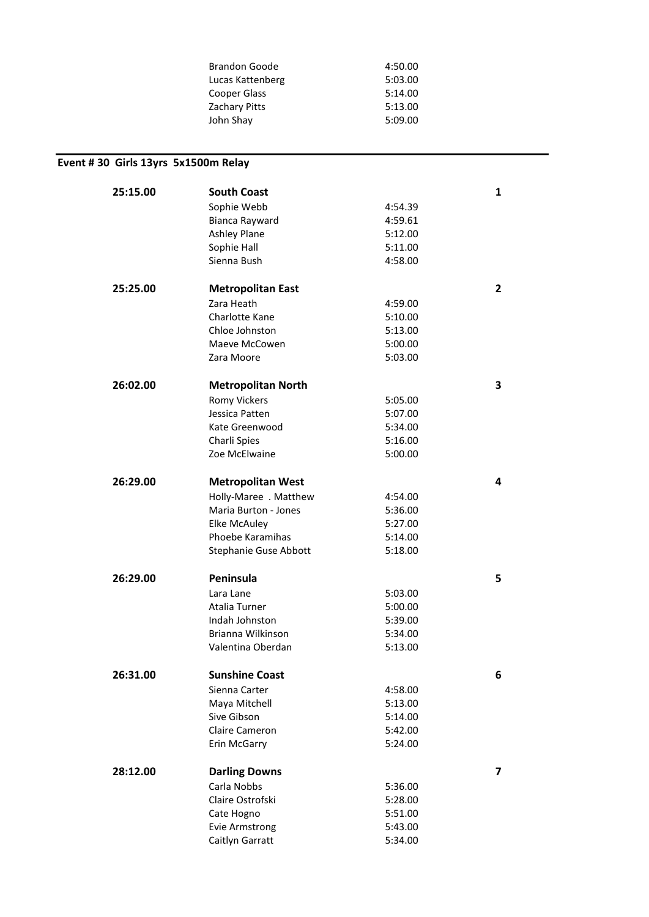| <b>Brandon Goode</b> | 4:50.00 |
|----------------------|---------|
| Lucas Kattenberg     | 5:03.00 |
| Cooper Glass         | 5:14.00 |
| Zachary Pitts        | 5:13.00 |
| John Shay            | 5:09.00 |
|                      |         |

## **Event # 30 Girls 13yrs 5x1500m Relay**

| 25:15.00 | <b>South Coast</b>           |         | 1 |
|----------|------------------------------|---------|---|
|          | Sophie Webb                  | 4:54.39 |   |
|          | Bianca Rayward               | 4:59.61 |   |
|          | <b>Ashley Plane</b>          | 5:12.00 |   |
|          | Sophie Hall                  | 5:11.00 |   |
|          | Sienna Bush                  | 4:58.00 |   |
|          |                              |         |   |
| 25:25.00 | <b>Metropolitan East</b>     |         | 2 |
|          | Zara Heath                   | 4:59.00 |   |
|          | Charlotte Kane               | 5:10.00 |   |
|          | Chloe Johnston               | 5:13.00 |   |
|          | Maeve McCowen                | 5:00.00 |   |
|          | Zara Moore                   | 5:03.00 |   |
| 26:02.00 | <b>Metropolitan North</b>    |         | 3 |
|          | <b>Romy Vickers</b>          | 5:05.00 |   |
|          | Jessica Patten               | 5:07.00 |   |
|          | Kate Greenwood               | 5:34.00 |   |
|          | Charli Spies                 | 5:16.00 |   |
|          | Zoe McElwaine                | 5:00.00 |   |
| 26:29.00 |                              |         | 4 |
|          | <b>Metropolitan West</b>     |         |   |
|          | Holly-Maree . Matthew        | 4:54.00 |   |
|          | Maria Burton - Jones         | 5:36.00 |   |
|          | <b>Elke McAuley</b>          | 5:27.00 |   |
|          | Phoebe Karamihas             | 5:14.00 |   |
|          | <b>Stephanie Guse Abbott</b> | 5:18.00 |   |
| 26:29.00 | Peninsula                    |         | 5 |
|          | Lara Lane                    | 5:03.00 |   |
|          | Atalia Turner                | 5:00.00 |   |
|          | Indah Johnston               | 5:39.00 |   |
|          | Brianna Wilkinson            | 5:34.00 |   |
|          | Valentina Oberdan            | 5:13.00 |   |
| 26:31.00 | <b>Sunshine Coast</b>        |         | 6 |
|          | Sienna Carter                | 4:58.00 |   |
|          | Maya Mitchell                | 5:13.00 |   |
|          | Sive Gibson                  | 5:14.00 |   |
|          | Claire Cameron               | 5:42.00 |   |
|          | Erin McGarry                 | 5:24.00 |   |
|          |                              |         |   |
| 28:12.00 | <b>Darling Downs</b>         |         | 7 |
|          | Carla Nobbs                  | 5:36.00 |   |
|          | Claire Ostrofski             | 5:28.00 |   |
|          | Cate Hogno                   | 5:51.00 |   |
|          | <b>Evie Armstrong</b>        | 5:43.00 |   |
|          | Caitlyn Garratt              | 5:34.00 |   |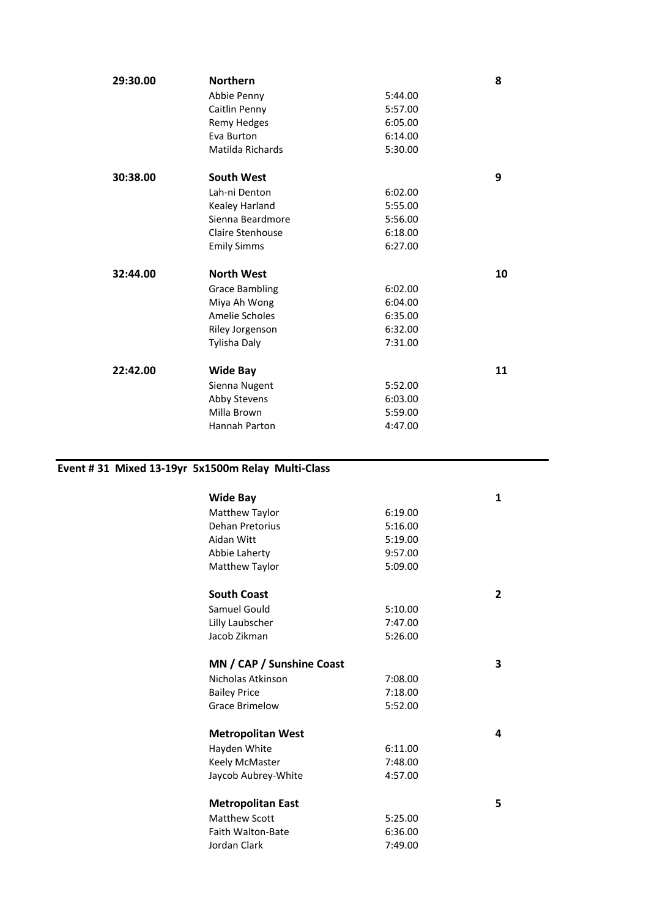| 29:30.00 | <b>Northern</b>       |         | 8  |
|----------|-----------------------|---------|----|
|          | Abbie Penny           | 5:44.00 |    |
|          | Caitlin Penny         | 5:57.00 |    |
|          | <b>Remy Hedges</b>    | 6:05.00 |    |
|          | Eva Burton            | 6:14.00 |    |
|          | Matilda Richards      | 5:30.00 |    |
| 30:38.00 | <b>South West</b>     |         | 9  |
|          | Lah-ni Denton         | 6:02.00 |    |
|          | Kealey Harland        | 5:55.00 |    |
|          | Sienna Beardmore      | 5:56.00 |    |
|          | Claire Stenhouse      | 6:18.00 |    |
|          | <b>Emily Simms</b>    | 6:27.00 |    |
| 32:44.00 | <b>North West</b>     |         | 10 |
|          | <b>Grace Bambling</b> | 6:02.00 |    |
|          | Miya Ah Wong          | 6:04.00 |    |
|          |                       |         |    |
|          | <b>Amelie Scholes</b> | 6:35.00 |    |
|          | Riley Jorgenson       | 6:32.00 |    |
|          | Tylisha Daly          | 7:31.00 |    |
| 22:42.00 | <b>Wide Bay</b>       |         | 11 |
|          | Sienna Nugent         | 5:52.00 |    |
|          | Abby Stevens          | 6:03.00 |    |
|          | Milla Brown           | 5:59.00 |    |
|          | Hannah Parton         | 4:47.00 |    |

## **Event # 31 Mixed 13-19yr 5x1500m Relay Multi-Class**

| <b>Wide Bay</b>           |         | 1              |
|---------------------------|---------|----------------|
| Matthew Taylor            | 6:19.00 |                |
| Dehan Pretorius           | 5:16.00 |                |
| Aidan Witt                | 5:19.00 |                |
| Abbie Laherty             | 9:57.00 |                |
| Matthew Taylor            | 5:09.00 |                |
| <b>South Coast</b>        |         | $\overline{2}$ |
| Samuel Gould              | 5:10.00 |                |
| Lilly Laubscher           | 7:47.00 |                |
| Jacob Zikman              | 5:26.00 |                |
| MN / CAP / Sunshine Coast |         | 3              |
| Nicholas Atkinson         | 7:08.00 |                |
| <b>Bailey Price</b>       | 7:18.00 |                |
| <b>Grace Brimelow</b>     | 5:52.00 |                |
| <b>Metropolitan West</b>  |         | 4              |
| Hayden White              | 6:11.00 |                |
| Keely McMaster            | 7:48.00 |                |
| Jaycob Aubrey-White       | 4:57.00 |                |
| <b>Metropolitan East</b>  |         | 5              |
| <b>Matthew Scott</b>      | 5:25.00 |                |
| <b>Faith Walton-Bate</b>  | 6:36.00 |                |
| Jordan Clark              | 7:49.00 |                |
|                           |         |                |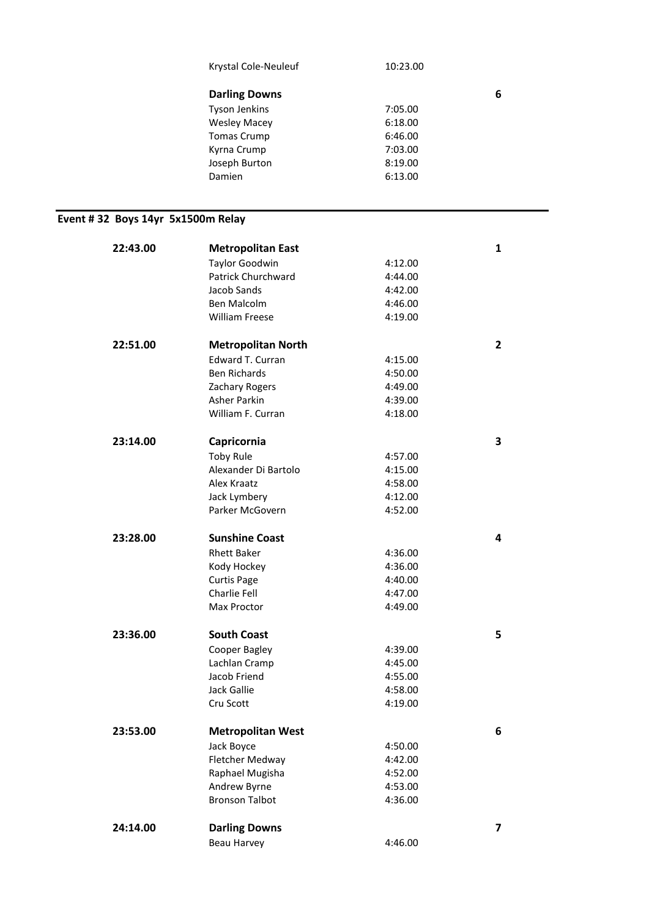|                                   | Krystal Cole-Neuleuf            | 10:23.00           |              |
|-----------------------------------|---------------------------------|--------------------|--------------|
|                                   | <b>Darling Downs</b>            |                    | 6            |
|                                   | <b>Tyson Jenkins</b>            | 7:05.00            |              |
|                                   | <b>Wesley Macey</b>             | 6:18.00            |              |
|                                   | <b>Tomas Crump</b>              | 6:46.00            |              |
|                                   | Kyrna Crump                     | 7:03.00            |              |
|                                   | Joseph Burton                   | 8:19.00            |              |
|                                   | Damien                          | 6:13.00            |              |
|                                   |                                 |                    |              |
| Event #32 Boys 14yr 5x1500m Relay |                                 |                    |              |
|                                   |                                 |                    |              |
| 22:43.00                          | <b>Metropolitan East</b>        |                    | $\mathbf{1}$ |
|                                   | <b>Taylor Goodwin</b>           | 4:12.00            |              |
|                                   | Patrick Churchward              | 4:44.00            |              |
|                                   | Jacob Sands                     | 4:42.00            |              |
|                                   | Ben Malcolm                     | 4:46.00            |              |
|                                   | <b>William Freese</b>           | 4:19.00            |              |
| 22:51.00                          | <b>Metropolitan North</b>       |                    | $\mathbf{2}$ |
|                                   | Edward T. Curran                | 4:15.00            |              |
|                                   | <b>Ben Richards</b>             | 4:50.00            |              |
|                                   | Zachary Rogers                  | 4:49.00            |              |
|                                   | Asher Parkin                    | 4:39.00            |              |
|                                   | William F. Curran               | 4:18.00            |              |
| 23:14.00                          |                                 |                    |              |
|                                   | Capricornia                     |                    | 3            |
|                                   | <b>Toby Rule</b>                | 4:57.00            |              |
|                                   | Alexander Di Bartolo            | 4:15.00            |              |
|                                   | Alex Kraatz                     | 4:58.00            |              |
|                                   | Jack Lymbery<br>Parker McGovern | 4:12.00<br>4:52.00 |              |
|                                   |                                 |                    |              |
| 23:28.00                          | <b>Sunshine Coast</b>           |                    | 4            |
|                                   | <b>Rhett Baker</b>              | 4:36.00            |              |
|                                   | Kody Hockey                     | 4:36.00            |              |
|                                   | <b>Curtis Page</b>              | 4:40.00            |              |
|                                   | Charlie Fell                    | 4:47.00            |              |
|                                   | Max Proctor                     | 4:49.00            |              |
| 23:36.00                          | <b>South Coast</b>              |                    | 5            |
|                                   | Cooper Bagley                   | 4:39.00            |              |
|                                   | Lachlan Cramp                   | 4:45.00            |              |
|                                   | Jacob Friend                    | 4:55.00            |              |
|                                   | Jack Gallie                     | 4:58.00            |              |
|                                   | Cru Scott                       | 4:19.00            |              |
| 23:53.00                          | <b>Metropolitan West</b>        |                    | 6            |
|                                   | Jack Boyce                      | 4:50.00            |              |
|                                   | Fletcher Medway                 | 4:42.00            |              |
|                                   | Raphael Mugisha                 | 4:52.00            |              |
|                                   | Andrew Byrne                    | 4:53.00            |              |
|                                   | <b>Bronson Talbot</b>           | 4:36.00            |              |
|                                   |                                 |                    |              |
| 24:14.00                          | <b>Darling Downs</b>            |                    | 7            |
|                                   | Beau Harvey                     | 4:46.00            |              |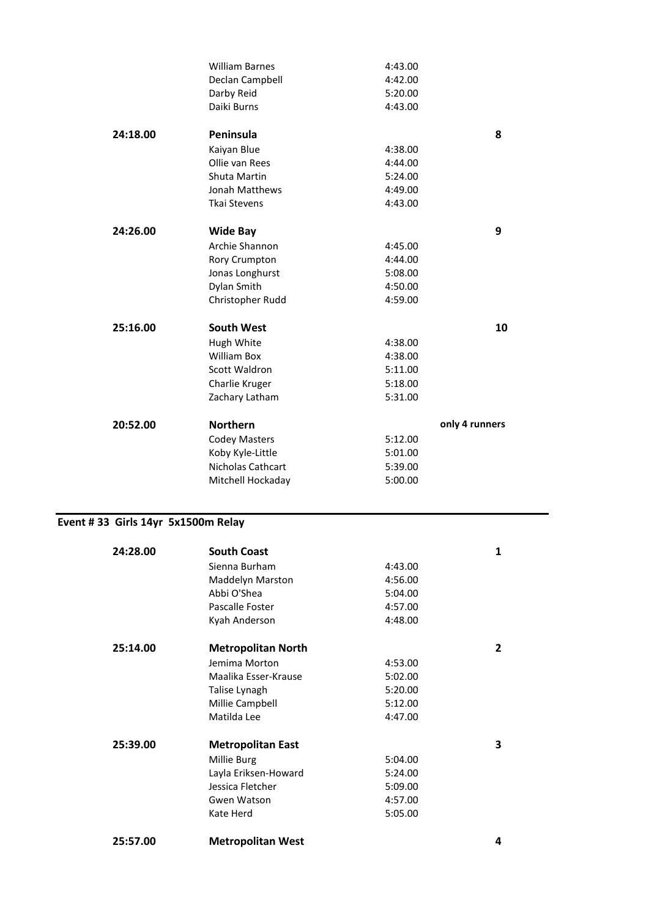|                                    | <b>William Barnes</b>          | 4:43.00            |                |
|------------------------------------|--------------------------------|--------------------|----------------|
|                                    | Declan Campbell                | 4:42.00            |                |
|                                    | Darby Reid                     | 5:20.00            |                |
|                                    | Daiki Burns                    | 4:43.00            |                |
| 24:18.00                           | Peninsula                      |                    | 8              |
|                                    | Kaiyan Blue                    | 4:38.00            |                |
|                                    | Ollie van Rees                 | 4:44.00            |                |
|                                    | Shuta Martin                   | 5:24.00            |                |
|                                    | Jonah Matthews                 | 4:49.00            |                |
|                                    | <b>Tkai Stevens</b>            | 4:43.00            |                |
| 24:26.00                           | <b>Wide Bay</b>                |                    | 9              |
|                                    | Archie Shannon                 |                    |                |
|                                    |                                | 4:45.00            |                |
|                                    | Rory Crumpton                  | 4:44.00            |                |
|                                    | Jonas Longhurst                | 5:08.00            |                |
|                                    | Dylan Smith                    | 4:50.00            |                |
|                                    | Christopher Rudd               | 4:59.00            |                |
| 25:16.00                           | <b>South West</b>              |                    | 10             |
|                                    | Hugh White                     | 4:38.00            |                |
|                                    | <b>William Box</b>             | 4:38.00            |                |
|                                    | Scott Waldron                  | 5:11.00            |                |
|                                    | Charlie Kruger                 | 5:18.00            |                |
|                                    | Zachary Latham                 | 5:31.00            |                |
| 20:52.00                           | <b>Northern</b>                |                    | only 4 runners |
|                                    | <b>Codey Masters</b>           | 5:12.00            |                |
|                                    |                                |                    |                |
|                                    |                                |                    |                |
|                                    | Koby Kyle-Little               | 5:01.00            |                |
|                                    | Nicholas Cathcart              | 5:39.00            |                |
|                                    | Mitchell Hockaday              | 5:00.00            |                |
|                                    |                                |                    |                |
| Event #33 Girls 14yr 5x1500m Relay |                                |                    |                |
| 24:28.00                           | <b>South Coast</b>             |                    | 1              |
|                                    | Sienna Burham                  | 4:43.00            |                |
|                                    | Maddelyn Marston               | 4:56.00            |                |
|                                    | Abbi O'Shea                    | 5:04.00            |                |
|                                    | Pascalle Foster                | 4:57.00            |                |
|                                    | Kyah Anderson                  | 4:48.00            |                |
| 25:14.00                           |                                |                    | $\overline{2}$ |
|                                    | <b>Metropolitan North</b>      |                    |                |
|                                    | Jemima Morton                  | 4:53.00            |                |
|                                    | Maalika Esser-Krause           | 5:02.00            |                |
|                                    | Talise Lynagh                  | 5:20.00            |                |
|                                    | Millie Campbell<br>Matilda Lee | 5:12.00<br>4:47.00 |                |
|                                    |                                |                    |                |
| 25:39.00                           | <b>Metropolitan East</b>       |                    | 3              |
|                                    | Millie Burg                    | 5:04.00            |                |
|                                    | Layla Eriksen-Howard           | 5:24.00            |                |
|                                    | Jessica Fletcher               | 5:09.00            |                |
|                                    | Gwen Watson<br>Kate Herd       | 4:57.00<br>5:05.00 |                |

**25:57.00 Metropolitan West 4**

i,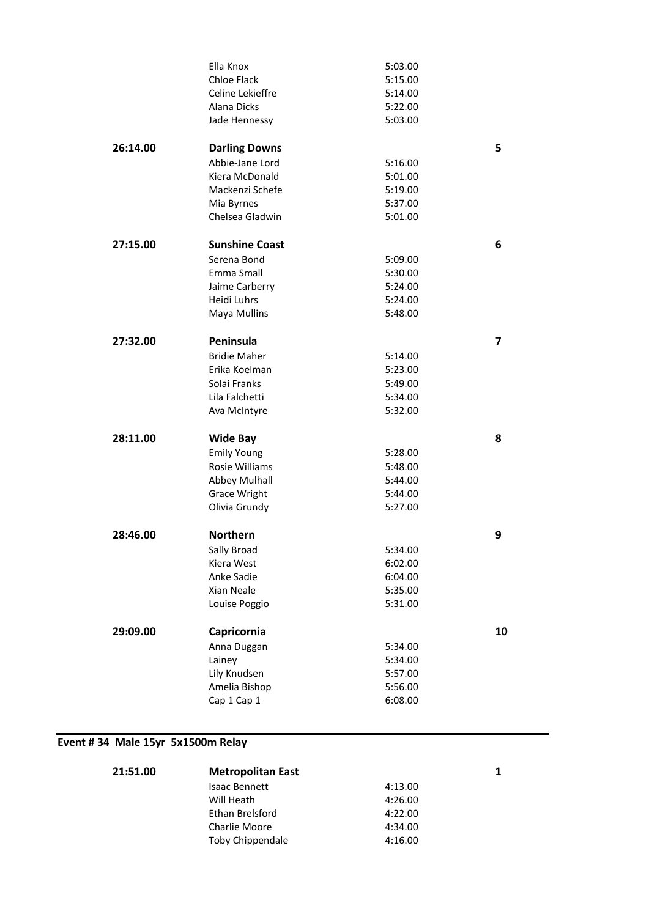|          | Ella Knox             | 5:03.00 |    |
|----------|-----------------------|---------|----|
|          | <b>Chloe Flack</b>    | 5:15.00 |    |
|          | Celine Lekieffre      | 5:14.00 |    |
|          | Alana Dicks           | 5:22.00 |    |
|          | Jade Hennessy         | 5:03.00 |    |
| 26:14.00 | <b>Darling Downs</b>  |         | 5  |
|          | Abbie-Jane Lord       | 5:16.00 |    |
|          | Kiera McDonald        | 5:01.00 |    |
|          | Mackenzi Schefe       | 5:19.00 |    |
|          | Mia Byrnes            | 5:37.00 |    |
|          | Chelsea Gladwin       | 5:01.00 |    |
| 27:15.00 | <b>Sunshine Coast</b> |         | 6  |
|          | Serena Bond           | 5:09.00 |    |
|          | Emma Small            | 5:30.00 |    |
|          | Jaime Carberry        | 5:24.00 |    |
|          | Heidi Luhrs           | 5:24.00 |    |
|          | Maya Mullins          | 5:48.00 |    |
| 27:32.00 | Peninsula             |         | 7  |
|          | <b>Bridie Maher</b>   | 5:14.00 |    |
|          | Erika Koelman         | 5:23.00 |    |
|          | Solai Franks          | 5:49.00 |    |
|          | Lila Falchetti        | 5:34.00 |    |
|          | Ava McIntyre          | 5:32.00 |    |
| 28:11.00 | <b>Wide Bay</b>       |         | 8  |
|          | <b>Emily Young</b>    | 5:28.00 |    |
|          | Rosie Williams        | 5:48.00 |    |
|          | Abbey Mulhall         | 5:44.00 |    |
|          | <b>Grace Wright</b>   | 5:44.00 |    |
|          | Olivia Grundy         | 5:27.00 |    |
| 28:46.00 | <b>Northern</b>       |         | 9  |
|          | Sally Broad           | 5:34.00 |    |
|          | Kiera West            | 6:02.00 |    |
|          | Anke Sadie            | 6:04.00 |    |
|          | Xian Neale            | 5:35.00 |    |
|          | Louise Poggio         | 5:31.00 |    |
| 29:09.00 | Capricornia           |         | 10 |
|          | Anna Duggan           | 5:34.00 |    |
|          | Lainey                | 5:34.00 |    |
|          | Lily Knudsen          | 5:57.00 |    |
|          | Amelia Bishop         | 5:56.00 |    |
|          | Cap 1 Cap 1           | 6:08.00 |    |

## **Event # 34 Male 15yr 5x1500m Relay**

| 21:51.00 | <b>Metropolitan East</b> |         |  |
|----------|--------------------------|---------|--|
|          | <b>Isaac Bennett</b>     | 4:13.00 |  |
|          | Will Heath               | 4:26.00 |  |
|          | Ethan Brelsford          | 4:22.00 |  |
|          | Charlie Moore            | 4:34.00 |  |
|          | Toby Chippendale         | 4:16.00 |  |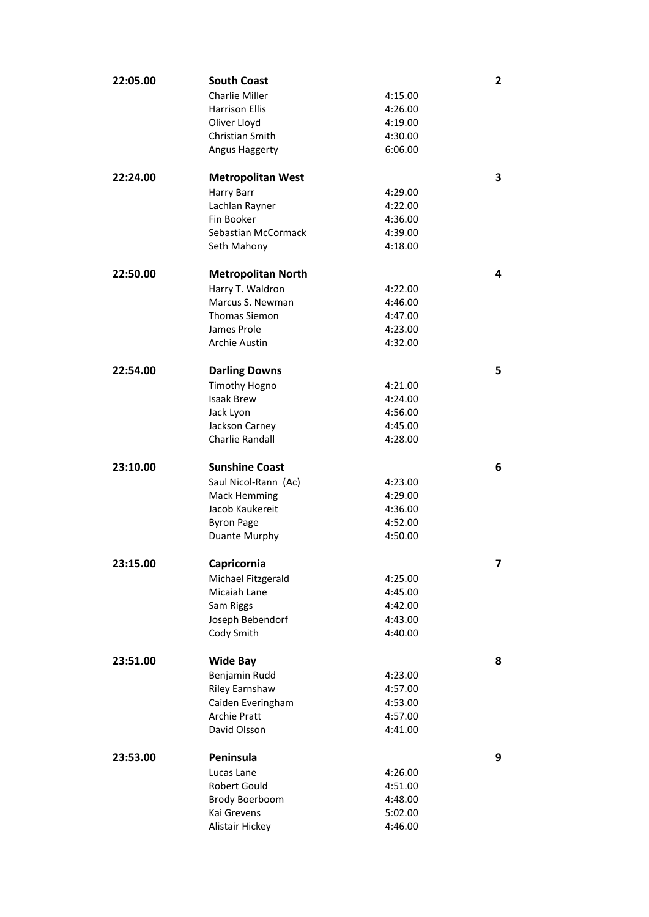| 22:05.00 | <b>South Coast</b>        |         | 2 |
|----------|---------------------------|---------|---|
|          | Charlie Miller            | 4:15.00 |   |
|          | <b>Harrison Ellis</b>     | 4:26.00 |   |
|          | Oliver Lloyd              | 4:19.00 |   |
|          | Christian Smith           | 4:30.00 |   |
|          | Angus Haggerty            | 6:06.00 |   |
| 22:24.00 | <b>Metropolitan West</b>  |         | 3 |
|          | Harry Barr                | 4:29.00 |   |
|          | Lachlan Rayner            | 4:22.00 |   |
|          | Fin Booker                | 4:36.00 |   |
|          | Sebastian McCormack       | 4:39.00 |   |
|          | Seth Mahony               | 4:18.00 |   |
| 22:50.00 | <b>Metropolitan North</b> |         | 4 |
|          | Harry T. Waldron          | 4:22.00 |   |
|          | Marcus S. Newman          | 4:46.00 |   |
|          | <b>Thomas Siemon</b>      | 4:47.00 |   |
|          | James Prole               | 4:23.00 |   |
|          | Archie Austin             | 4:32.00 |   |
|          |                           |         |   |
| 22:54.00 | <b>Darling Downs</b>      |         | 5 |
|          | <b>Timothy Hogno</b>      | 4:21.00 |   |
|          | <b>Isaak Brew</b>         | 4:24.00 |   |
|          | Jack Lyon                 | 4:56.00 |   |
|          | Jackson Carney            | 4:45.00 |   |
|          | Charlie Randall           | 4:28.00 |   |
| 23:10.00 | <b>Sunshine Coast</b>     |         | 6 |
|          | Saul Nicol-Rann (Ac)      | 4:23.00 |   |
|          | <b>Mack Hemming</b>       | 4:29.00 |   |
|          | Jacob Kaukereit           | 4:36.00 |   |
|          | <b>Byron Page</b>         | 4:52.00 |   |
|          | Duante Murphy             | 4:50.00 |   |
| 23:15.00 | Capricornia               |         | 7 |
|          | Michael Fitzgerald        | 4:25.00 |   |
|          | Micaiah Lane              | 4:45.00 |   |
|          | Sam Riggs                 | 4:42.00 |   |
|          | Joseph Bebendorf          | 4:43.00 |   |
|          | Cody Smith                | 4:40.00 |   |
| 23:51.00 | <b>Wide Bay</b>           |         | 8 |
|          | Benjamin Rudd             | 4:23.00 |   |
|          | <b>Riley Earnshaw</b>     | 4:57.00 |   |
|          | Caiden Everingham         | 4:53.00 |   |
|          | <b>Archie Pratt</b>       | 4:57.00 |   |
|          | David Olsson              | 4:41.00 |   |
| 23:53.00 | Peninsula                 |         | 9 |
|          | Lucas Lane                | 4:26.00 |   |
|          | Robert Gould              | 4:51.00 |   |
|          | Brody Boerboom            | 4:48.00 |   |
|          | Kai Grevens               | 5:02.00 |   |
|          | Alistair Hickey           | 4:46.00 |   |
|          |                           |         |   |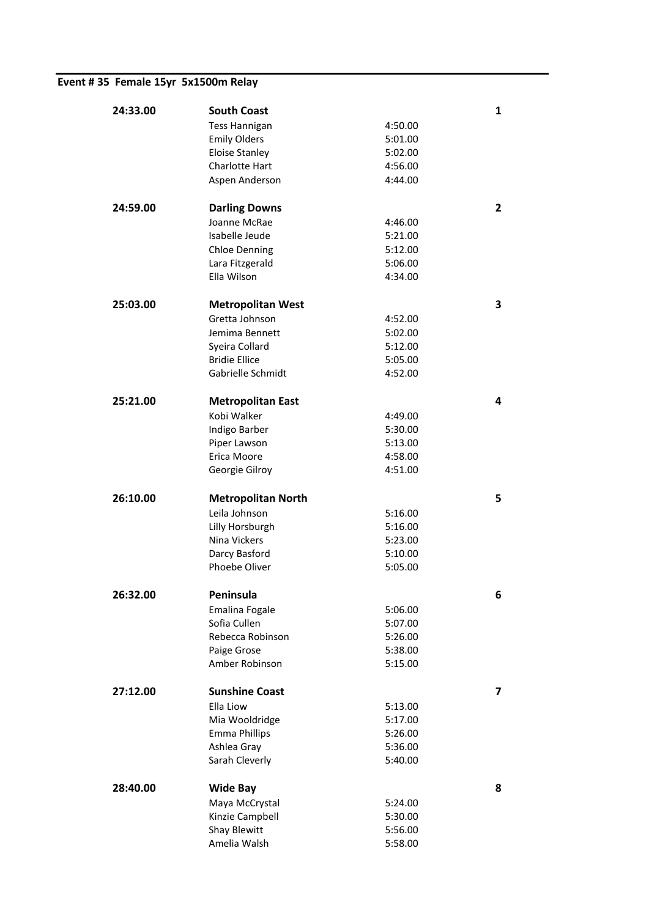## **Event # 35 Female 15yr 5x1500m Relay**

| 24:33.00 | <b>South Coast</b>            |                    | 1                       |
|----------|-------------------------------|--------------------|-------------------------|
|          | <b>Tess Hannigan</b>          | 4:50.00            |                         |
|          | <b>Emily Olders</b>           | 5:01.00            |                         |
|          | Eloise Stanley                | 5:02.00            |                         |
|          | Charlotte Hart                | 4:56.00            |                         |
|          | Aspen Anderson                | 4:44.00            |                         |
|          |                               |                    |                         |
| 24:59.00 | <b>Darling Downs</b>          |                    | $\overline{\mathbf{c}}$ |
|          | Joanne McRae                  | 4:46.00            |                         |
|          | Isabelle Jeude                | 5:21.00            |                         |
|          | <b>Chloe Denning</b>          | 5:12.00            |                         |
|          | Lara Fitzgerald               | 5:06.00            |                         |
|          | Ella Wilson                   | 4:34.00            |                         |
| 25:03.00 |                               |                    |                         |
|          | <b>Metropolitan West</b>      |                    | з                       |
|          | Gretta Johnson                | 4:52.00            |                         |
|          | Jemima Bennett                | 5:02.00            |                         |
|          | Syeira Collard                | 5:12.00            |                         |
|          | <b>Bridie Ellice</b>          | 5:05.00            |                         |
|          | Gabrielle Schmidt             | 4:52.00            |                         |
| 25:21.00 | <b>Metropolitan East</b>      |                    | 4                       |
|          | Kobi Walker                   | 4:49.00            |                         |
|          | Indigo Barber                 | 5:30.00            |                         |
|          | Piper Lawson                  | 5:13.00            |                         |
|          | Erica Moore                   | 4:58.00            |                         |
|          | Georgie Gilroy                | 4:51.00            |                         |
|          |                               |                    |                         |
|          |                               |                    |                         |
| 26:10.00 | <b>Metropolitan North</b>     |                    | 5                       |
|          | Leila Johnson                 | 5:16.00            |                         |
|          | Lilly Horsburgh               | 5:16.00            |                         |
|          | Nina Vickers                  | 5:23.00            |                         |
|          | Darcy Basford                 | 5:10.00            |                         |
|          | Phoebe Oliver                 | 5:05.00            |                         |
|          |                               |                    |                         |
| 26:32.00 | Peninsula                     |                    | 6                       |
|          | Emalina Fogale                | 5:06.00            |                         |
|          | Sofia Cullen                  | 5:07.00            |                         |
|          | Rebecca Robinson              | 5:26.00            |                         |
|          | Paige Grose<br>Amber Robinson | 5:38.00<br>5:15.00 |                         |
|          |                               |                    |                         |
| 27:12.00 | <b>Sunshine Coast</b>         |                    | 7                       |
|          | Ella Liow                     | 5:13.00            |                         |
|          | Mia Wooldridge                | 5:17.00            |                         |
|          | <b>Emma Phillips</b>          | 5:26.00            |                         |
|          | Ashlea Gray                   | 5:36.00            |                         |
|          | Sarah Cleverly                | 5:40.00            |                         |
| 28:40.00 |                               |                    | 8                       |
|          | <b>Wide Bay</b>               |                    |                         |
|          | Maya McCrystal                | 5:24.00            |                         |
|          | Kinzie Campbell               | 5:30.00            |                         |
|          | Shay Blewitt<br>Amelia Walsh  | 5:56.00<br>5:58.00 |                         |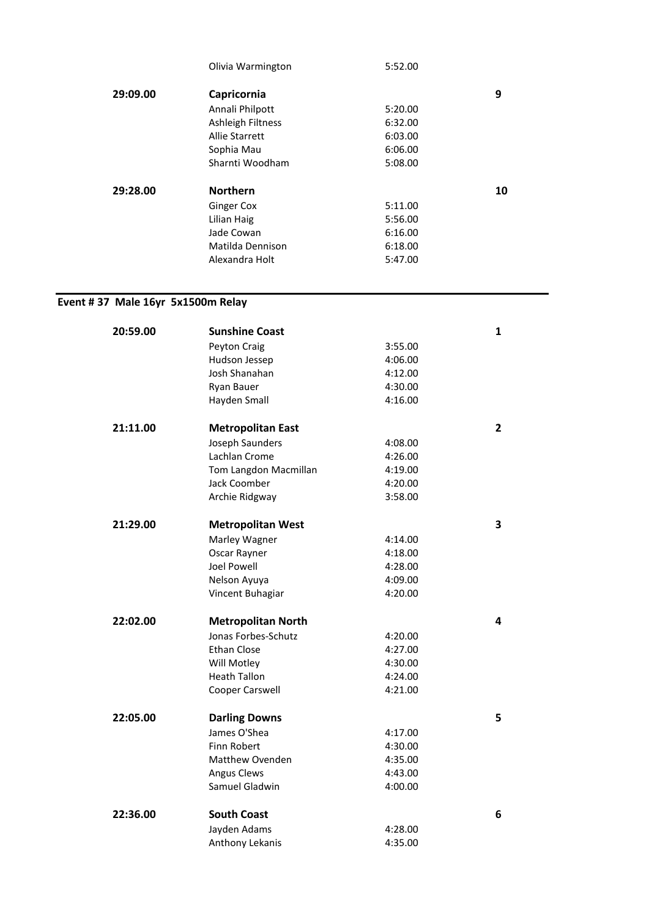|          | Olivia Warmington        | 5:52.00 |    |
|----------|--------------------------|---------|----|
| 29:09.00 | Capricornia              |         | 9  |
|          | Annali Philpott          | 5:20.00 |    |
|          | <b>Ashleigh Filtness</b> | 6:32.00 |    |
|          | Allie Starrett           | 6:03.00 |    |
|          | Sophia Mau               | 6:06.00 |    |
|          | Sharnti Woodham          | 5:08.00 |    |
| 29:28.00 | <b>Northern</b>          |         | 10 |
|          | Ginger Cox               | 5:11.00 |    |
|          | Lilian Haig              | 5:56.00 |    |
|          | Jade Cowan               | 6:16.00 |    |
|          | Matilda Dennison         | 6:18.00 |    |
|          | Alexandra Holt           | 5:47.00 |    |
|          |                          |         |    |

## **Event # 37 Male 16yr 5x1500m Relay**

| 20:59.00 | <b>Sunshine Coast</b>     |         | $\mathbf{1}$ |
|----------|---------------------------|---------|--------------|
|          | Peyton Craig              | 3:55.00 |              |
|          | Hudson Jessep             | 4:06.00 |              |
|          | Josh Shanahan             | 4:12.00 |              |
|          | Ryan Bauer                | 4:30.00 |              |
|          | Hayden Small              | 4:16.00 |              |
| 21:11.00 | <b>Metropolitan East</b>  |         | $\mathbf{2}$ |
|          | Joseph Saunders           | 4:08.00 |              |
|          | Lachlan Crome             | 4:26.00 |              |
|          | Tom Langdon Macmillan     | 4:19.00 |              |
|          | Jack Coomber              | 4:20.00 |              |
|          | Archie Ridgway            | 3:58.00 |              |
| 21:29.00 | <b>Metropolitan West</b>  |         | 3            |
|          | Marley Wagner             | 4:14.00 |              |
|          | Oscar Rayner              | 4:18.00 |              |
|          | <b>Joel Powell</b>        | 4:28.00 |              |
|          | Nelson Ayuya              | 4:09.00 |              |
|          | Vincent Buhagiar          | 4:20.00 |              |
| 22:02.00 | <b>Metropolitan North</b> |         | 4            |
|          | Jonas Forbes-Schutz       | 4:20.00 |              |
|          | Ethan Close               | 4:27.00 |              |
|          | Will Motley               | 4:30.00 |              |
|          | <b>Heath Tallon</b>       | 4:24.00 |              |
|          | Cooper Carswell           | 4:21.00 |              |
| 22:05.00 | <b>Darling Downs</b>      |         | 5            |
|          | James O'Shea              | 4:17.00 |              |
|          | Finn Robert               | 4:30.00 |              |
|          | Matthew Ovenden           | 4:35.00 |              |
|          | <b>Angus Clews</b>        | 4:43.00 |              |
|          | Samuel Gladwin            | 4:00.00 |              |
| 22:36.00 | <b>South Coast</b>        |         | 6            |
|          | Jayden Adams              | 4:28.00 |              |
|          | Anthony Lekanis           | 4:35.00 |              |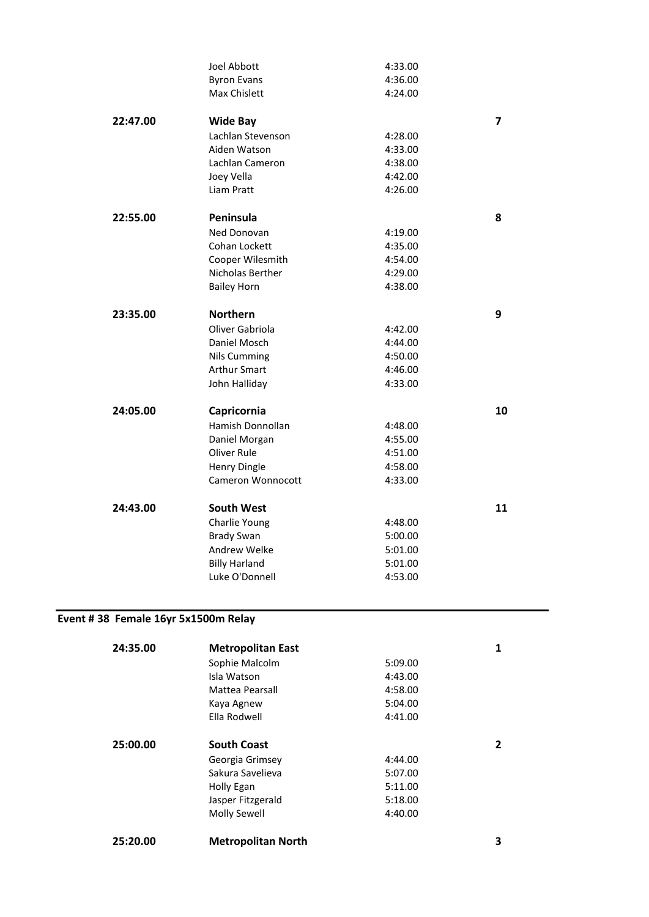|          | <b>Joel Abbott</b>   | 4:33.00 |                         |
|----------|----------------------|---------|-------------------------|
|          | <b>Byron Evans</b>   | 4:36.00 |                         |
|          | Max Chislett         | 4:24.00 |                         |
| 22:47.00 | <b>Wide Bay</b>      |         | $\overline{\mathbf{z}}$ |
|          | Lachlan Stevenson    | 4:28.00 |                         |
|          | Aiden Watson         | 4:33.00 |                         |
|          | Lachlan Cameron      | 4:38.00 |                         |
|          | Joey Vella           | 4:42.00 |                         |
|          | Liam Pratt           | 4:26.00 |                         |
| 22:55.00 | Peninsula            |         | 8                       |
|          | Ned Donovan          | 4:19.00 |                         |
|          | Cohan Lockett        | 4:35.00 |                         |
|          | Cooper Wilesmith     | 4:54.00 |                         |
|          | Nicholas Berther     | 4:29.00 |                         |
|          | <b>Bailey Horn</b>   | 4:38.00 |                         |
| 23:35.00 | <b>Northern</b>      |         | 9                       |
|          | Oliver Gabriola      | 4:42.00 |                         |
|          | Daniel Mosch         | 4:44.00 |                         |
|          | <b>Nils Cumming</b>  | 4:50.00 |                         |
|          | <b>Arthur Smart</b>  | 4:46.00 |                         |
|          | John Halliday        | 4:33.00 |                         |
| 24:05.00 | Capricornia          |         | 10                      |
|          | Hamish Donnollan     | 4:48.00 |                         |
|          | Daniel Morgan        | 4:55.00 |                         |
|          | Oliver Rule          | 4:51.00 |                         |
|          | <b>Henry Dingle</b>  | 4:58.00 |                         |
|          | Cameron Wonnocott    | 4:33.00 |                         |
| 24:43.00 | <b>South West</b>    |         | 11                      |
|          | Charlie Young        | 4:48.00 |                         |
|          | <b>Brady Swan</b>    | 5:00.00 |                         |
|          | Andrew Welke         | 5:01.00 |                         |
|          | <b>Billy Harland</b> | 5:01.00 |                         |
|          | Luke O'Donnell       | 4:53.00 |                         |

## **Event # 38 Female 16yr 5x1500m Relay**

| 24:35.00 | <b>Metropolitan East</b>  |         | 1 |
|----------|---------------------------|---------|---|
|          | Sophie Malcolm            | 5:09.00 |   |
|          | Isla Watson               | 4:43.00 |   |
|          | Mattea Pearsall           | 4:58.00 |   |
|          | Kaya Agnew                | 5:04.00 |   |
|          | Ella Rodwell              | 4:41.00 |   |
| 25:00.00 | <b>South Coast</b>        |         | 2 |
|          | Georgia Grimsey           | 4:44.00 |   |
|          | Sakura Savelieva          | 5:07.00 |   |
|          | Holly Egan                | 5:11.00 |   |
|          | Jasper Fitzgerald         | 5:18.00 |   |
|          | Molly Sewell              | 4:40.00 |   |
| 25:20.00 | <b>Metropolitan North</b> |         | 3 |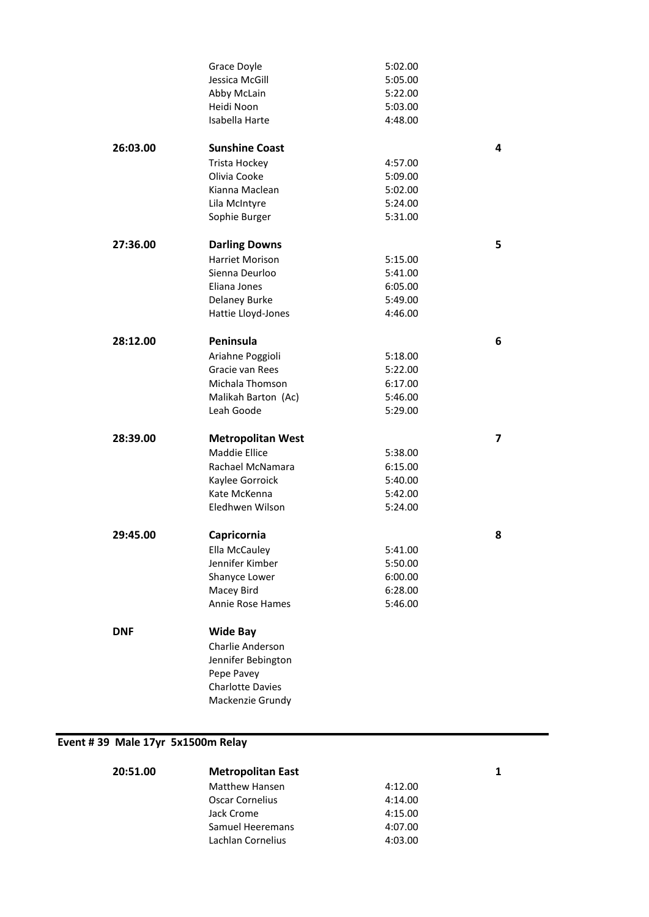|            | Grace Doyle<br>Jessica McGill<br>Abby McLain<br>Heidi Noon<br>Isabella Harte                                               | 5:02.00<br>5:05.00<br>5:22.00<br>5:03.00<br>4:48.00 |   |
|------------|----------------------------------------------------------------------------------------------------------------------------|-----------------------------------------------------|---|
| 26:03.00   | <b>Sunshine Coast</b><br>Trista Hockey<br>Olivia Cooke<br>Kianna Maclean<br>Lila McIntyre<br>Sophie Burger                 | 4:57.00<br>5:09.00<br>5:02.00<br>5:24.00<br>5:31.00 | 4 |
| 27:36.00   | <b>Darling Downs</b><br><b>Harriet Morison</b><br>Sienna Deurloo<br>Eliana Jones<br>Delaney Burke<br>Hattie Lloyd-Jones    | 5:15.00<br>5:41.00<br>6:05.00<br>5:49.00<br>4:46.00 | 5 |
| 28:12.00   | Peninsula<br>Ariahne Poggioli<br>Gracie van Rees<br>Michala Thomson<br>Malikah Barton (Ac)<br>Leah Goode                   | 5:18.00<br>5:22.00<br>6:17.00<br>5:46.00<br>5:29.00 | 6 |
| 28:39.00   | <b>Metropolitan West</b><br><b>Maddie Ellice</b><br>Rachael McNamara<br>Kaylee Gorroick<br>Kate McKenna<br>Eledhwen Wilson | 5:38.00<br>6:15.00<br>5:40.00<br>5:42.00<br>5:24.00 | 7 |
| 29:45.00   | Capricornia<br><b>Ella McCauley</b><br>Jennifer Kimber<br>Shanyce Lower<br>Macey Bird<br>Annie Rose Hames                  | 5:41.00<br>5:50.00<br>6:00.00<br>6:28.00<br>5:46.00 | 8 |
| <b>DNF</b> | <b>Wide Bay</b><br>Charlie Anderson<br>Jennifer Bebington<br>Pepe Pavey<br><b>Charlotte Davies</b><br>Mackenzie Grundy     |                                                     |   |

# **Event # 39 Male 17yr 5x1500m Relay**

| 20:51.00 | <b>Metropolitan East</b> |         |  |
|----------|--------------------------|---------|--|
|          | <b>Matthew Hansen</b>    | 4:12.00 |  |
|          | Oscar Cornelius          | 4:14.00 |  |
|          | Jack Crome               | 4:15.00 |  |
|          | Samuel Heeremans         | 4:07.00 |  |
|          | Lachlan Cornelius        | 4:03.00 |  |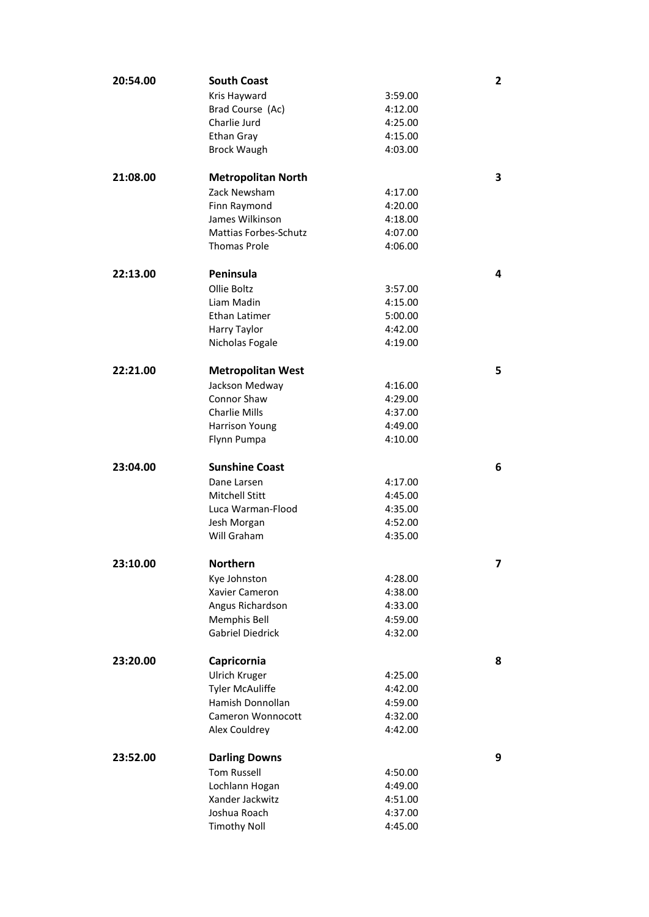| 20:54.00 | <b>South Coast</b>                  |                    | $\mathbf{2}$ |
|----------|-------------------------------------|--------------------|--------------|
|          | Kris Hayward                        | 3:59.00            |              |
|          | Brad Course (Ac)                    | 4:12.00            |              |
|          | Charlie Jurd                        | 4:25.00            |              |
|          | Ethan Gray                          | 4:15.00            |              |
|          | <b>Brock Waugh</b>                  | 4:03.00            |              |
| 21:08.00 | <b>Metropolitan North</b>           |                    | 3            |
|          | Zack Newsham                        | 4:17.00            |              |
|          | Finn Raymond                        | 4:20.00            |              |
|          | James Wilkinson                     | 4:18.00            |              |
|          | <b>Mattias Forbes-Schutz</b>        | 4:07.00            |              |
|          | <b>Thomas Prole</b>                 | 4:06.00            |              |
| 22:13.00 | Peninsula                           |                    | 4            |
|          | Ollie Boltz                         | 3:57.00            |              |
|          | Liam Madin                          | 4:15.00            |              |
|          | Ethan Latimer                       | 5:00.00            |              |
|          | Harry Taylor                        | 4:42.00            |              |
|          | Nicholas Fogale                     | 4:19.00            |              |
| 22:21.00 | <b>Metropolitan West</b>            |                    | 5            |
|          | Jackson Medway                      | 4:16.00            |              |
|          | Connor Shaw                         | 4:29.00            |              |
|          | <b>Charlie Mills</b>                | 4:37.00            |              |
|          | <b>Harrison Young</b>               | 4:49.00            |              |
|          | Flynn Pumpa                         | 4:10.00            |              |
|          |                                     |                    |              |
| 23:04.00 | <b>Sunshine Coast</b>               |                    | 6            |
|          | Dane Larsen                         | 4:17.00            |              |
|          | <b>Mitchell Stitt</b>               | 4:45.00            |              |
|          | Luca Warman-Flood                   | 4:35.00            |              |
|          | Jesh Morgan                         | 4:52.00            |              |
|          | Will Graham                         | 4:35.00            |              |
| 23:10.00 | <b>Northern</b>                     |                    | 7            |
|          | Kye Johnston                        | 4:28.00            |              |
|          | Xavier Cameron                      | 4:38.00            |              |
|          | Angus Richardson                    | 4:33.00            |              |
|          | Memphis Bell                        | 4:59.00            |              |
|          | <b>Gabriel Diedrick</b>             | 4:32.00            |              |
| 23:20.00 | Capricornia                         |                    | 8            |
|          | Ulrich Kruger                       | 4:25.00            |              |
|          | <b>Tyler McAuliffe</b>              | 4:42.00            |              |
|          | Hamish Donnollan                    | 4:59.00            |              |
|          | Cameron Wonnocott                   | 4:32.00            |              |
|          | Alex Couldrey                       | 4:42.00            |              |
| 23:52.00 | <b>Darling Downs</b>                |                    | 9            |
|          | <b>Tom Russell</b>                  | 4:50.00            |              |
|          | Lochlann Hogan                      | 4:49.00            |              |
|          | Xander Jackwitz                     | 4:51.00            |              |
|          | Joshua Roach<br><b>Timothy Noll</b> | 4:37.00<br>4:45.00 |              |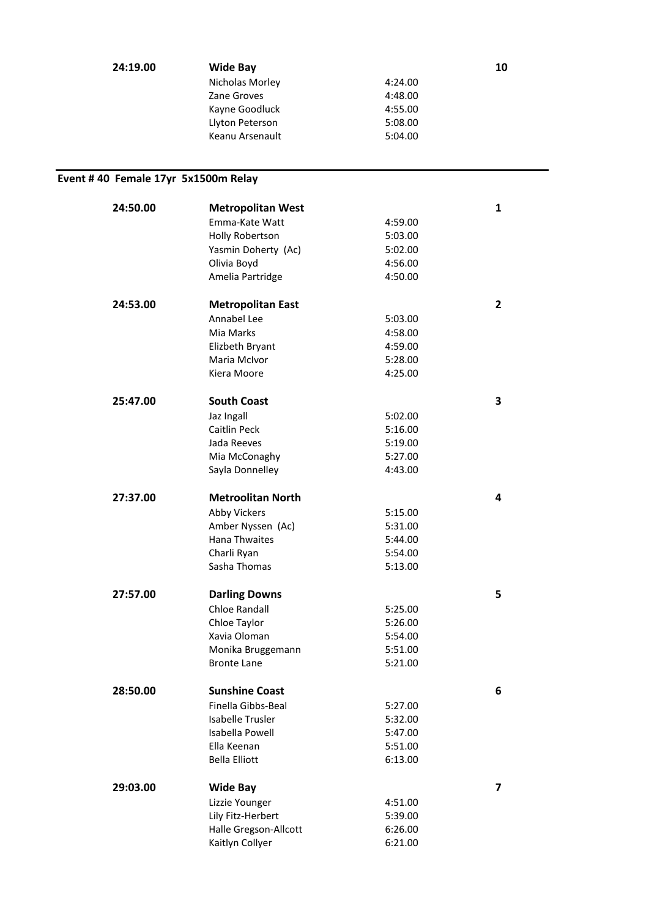| 24:19.00 | <b>Wide Bay</b> |         | 10 |
|----------|-----------------|---------|----|
|          | Nicholas Morley | 4:24.00 |    |
|          | Zane Groves     | 4:48.00 |    |
|          | Kayne Goodluck  | 4:55.00 |    |
|          | Llyton Peterson | 5:08.00 |    |
|          | Keanu Arsenault | 5:04.00 |    |

## **Event # 40 Female 17yr 5x1500m Relay**

| 24:50.00 | <b>Metropolitan West</b> |         | $\mathbf{1}$ |
|----------|--------------------------|---------|--------------|
|          | Emma-Kate Watt           | 4:59.00 |              |
|          | Holly Robertson          | 5:03.00 |              |
|          | Yasmin Doherty (Ac)      | 5:02.00 |              |
|          | Olivia Boyd              | 4:56.00 |              |
|          | Amelia Partridge         | 4:50.00 |              |
|          |                          |         |              |
| 24:53.00 | <b>Metropolitan East</b> |         | $\mathbf{2}$ |
|          | Annabel Lee              | 5:03.00 |              |
|          | Mia Marks                | 4:58.00 |              |
|          | Elizbeth Bryant          | 4:59.00 |              |
|          | Maria McIvor             | 5:28.00 |              |
|          | Kiera Moore              | 4:25.00 |              |
| 25:47.00 | <b>South Coast</b>       |         | 3            |
|          |                          |         |              |
|          | Jaz Ingall               | 5:02.00 |              |
|          | Caitlin Peck             | 5:16.00 |              |
|          | Jada Reeves              | 5:19.00 |              |
|          | Mia McConaghy            | 5:27.00 |              |
|          | Sayla Donnelley          | 4:43.00 |              |
| 27:37.00 | <b>Metroolitan North</b> |         | 4            |
|          | Abby Vickers             | 5:15.00 |              |
|          | Amber Nyssen (Ac)        | 5:31.00 |              |
|          | <b>Hana Thwaites</b>     | 5:44.00 |              |
|          | Charli Ryan              | 5:54.00 |              |
|          | Sasha Thomas             | 5:13.00 |              |
|          |                          |         |              |
| 27:57.00 | <b>Darling Downs</b>     |         | 5            |
|          | Chloe Randall            | 5:25.00 |              |
|          | Chloe Taylor             | 5:26.00 |              |
|          | Xavia Oloman             | 5:54.00 |              |
|          | Monika Bruggemann        | 5:51.00 |              |
|          | <b>Bronte Lane</b>       | 5:21.00 |              |
| 28:50.00 | <b>Sunshine Coast</b>    |         | 6            |
|          |                          |         |              |
|          | Finella Gibbs-Beal       | 5:27.00 |              |
|          | <b>Isabelle Trusler</b>  | 5:32.00 |              |
|          | Isabella Powell          | 5:47.00 |              |
|          | Ella Keenan              | 5:51.00 |              |
|          | <b>Bella Elliott</b>     | 6:13.00 |              |
| 29:03.00 | <b>Wide Bay</b>          |         | 7            |
|          | Lizzie Younger           | 4:51.00 |              |
|          | Lily Fitz-Herbert        | 5:39.00 |              |
|          | Halle Gregson-Allcott    | 6:26.00 |              |
|          | Kaitlyn Collyer          | 6:21.00 |              |
|          |                          |         |              |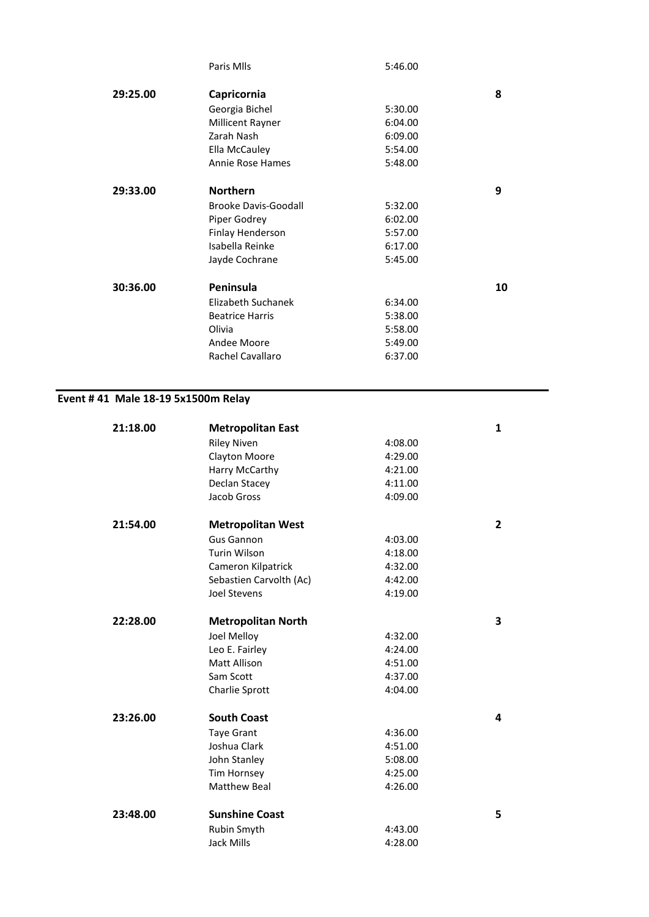|          | Paris Mlls                  | 5:46.00 |    |
|----------|-----------------------------|---------|----|
| 29:25.00 | Capricornia                 |         | 8  |
|          | Georgia Bichel              | 5:30.00 |    |
|          | Millicent Rayner            | 6:04.00 |    |
|          | Zarah Nash                  | 6:09.00 |    |
|          | Ella McCauley               | 5:54.00 |    |
|          | Annie Rose Hames            | 5:48.00 |    |
| 29:33.00 | <b>Northern</b>             |         | 9  |
|          | <b>Brooke Davis-Goodall</b> | 5:32.00 |    |
|          | Piper Godrey                | 6:02.00 |    |
|          | Finlay Henderson            | 5:57.00 |    |
|          | Isabella Reinke             | 6:17.00 |    |
|          | Jayde Cochrane              | 5:45.00 |    |
| 30:36.00 | Peninsula                   |         | 10 |
|          | Elizabeth Suchanek          | 6:34.00 |    |
|          | <b>Beatrice Harris</b>      | 5:38.00 |    |
|          | Olivia                      | 5:58.00 |    |
|          | Andee Moore                 | 5:49.00 |    |
|          | Rachel Cavallaro            | 6:37.00 |    |
|          |                             |         |    |

#### **Event # 41 Male 18-19 5x1500m Relay**

| 21:18.00 | <b>Metropolitan East</b>  |         | 1              |
|----------|---------------------------|---------|----------------|
|          | <b>Riley Niven</b>        | 4:08.00 |                |
|          | Clayton Moore             | 4:29.00 |                |
|          | Harry McCarthy            | 4:21.00 |                |
|          | Declan Stacey             | 4:11.00 |                |
|          | Jacob Gross               | 4:09.00 |                |
| 21:54.00 | <b>Metropolitan West</b>  |         | $\overline{2}$ |
|          | <b>Gus Gannon</b>         | 4:03.00 |                |
|          | <b>Turin Wilson</b>       | 4:18.00 |                |
|          | Cameron Kilpatrick        | 4:32.00 |                |
|          | Sebastien Carvolth (Ac)   | 4:42.00 |                |
|          | Joel Stevens              | 4:19.00 |                |
| 22:28.00 | <b>Metropolitan North</b> |         | 3              |
|          | Joel Melloy               | 4:32.00 |                |
|          | Leo E. Fairley            | 4:24.00 |                |
|          | Matt Allison              | 4:51.00 |                |
|          | Sam Scott                 | 4:37.00 |                |
|          | Charlie Sprott            | 4:04.00 |                |
| 23:26.00 | <b>South Coast</b>        |         | 4              |
|          | <b>Taye Grant</b>         | 4:36.00 |                |
|          | Joshua Clark              | 4:51.00 |                |
|          | John Stanley              | 5:08.00 |                |
|          | Tim Hornsey               | 4:25.00 |                |
|          | <b>Matthew Beal</b>       | 4:26.00 |                |
| 23:48.00 | <b>Sunshine Coast</b>     |         | 5              |
|          | Rubin Smyth               | 4:43.00 |                |
|          | Jack Mills                | 4:28.00 |                |
|          |                           |         |                |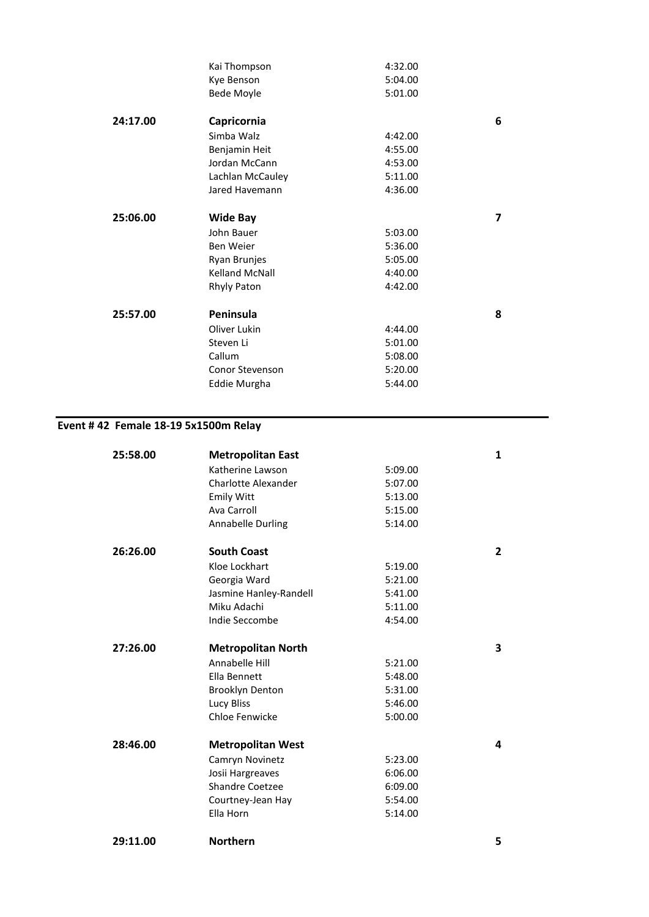|          | Kai Thompson           | 4:32.00 |   |
|----------|------------------------|---------|---|
|          | Kye Benson             | 5:04.00 |   |
|          | <b>Bede Moyle</b>      | 5:01.00 |   |
| 24:17.00 | Capricornia            |         | 6 |
|          | Simba Walz             | 4:42.00 |   |
|          | Benjamin Heit          | 4:55.00 |   |
|          | Jordan McCann          | 4:53.00 |   |
|          | Lachlan McCauley       | 5:11.00 |   |
|          | Jared Havemann         | 4:36.00 |   |
| 25:06.00 | <b>Wide Bay</b>        |         | 7 |
|          | John Bauer             | 5:03.00 |   |
|          | Ben Weier              | 5:36.00 |   |
|          | Ryan Brunjes           | 5:05.00 |   |
|          | <b>Kelland McNall</b>  | 4:40.00 |   |
|          | Rhyly Paton            | 4:42.00 |   |
| 25:57.00 | Peninsula              |         | 8 |
|          | Oliver Lukin           | 4:44.00 |   |
|          | Steven Li              | 5:01.00 |   |
|          | Callum                 | 5:08.00 |   |
|          | <b>Conor Stevenson</b> | 5:20.00 |   |
|          | Eddie Murgha           | 5:44.00 |   |
|          |                        |         |   |

### **Event # 42 Female 18-19 5x1500m Relay**

| 25:58.00 | <b>Metropolitan East</b>  |         | 1              |
|----------|---------------------------|---------|----------------|
|          | Katherine Lawson          | 5:09.00 |                |
|          | Charlotte Alexander       | 5:07.00 |                |
|          | <b>Emily Witt</b>         | 5:13.00 |                |
|          | Ava Carroll               | 5:15.00 |                |
|          | <b>Annabelle Durling</b>  | 5:14.00 |                |
| 26:26.00 | <b>South Coast</b>        |         | $\overline{2}$ |
|          | Kloe Lockhart             | 5:19.00 |                |
|          | Georgia Ward              | 5:21.00 |                |
|          | Jasmine Hanley-Randell    | 5:41.00 |                |
|          | Miku Adachi               | 5:11.00 |                |
|          | Indie Seccombe            | 4:54.00 |                |
| 27:26.00 | <b>Metropolitan North</b> |         | 3              |
|          | Annabelle Hill            | 5:21.00 |                |
|          | Ella Bennett              | 5:48.00 |                |
|          | <b>Brooklyn Denton</b>    | 5:31.00 |                |
|          | <b>Lucy Bliss</b>         | 5:46.00 |                |
|          | Chloe Fenwicke            | 5:00.00 |                |
| 28:46.00 | <b>Metropolitan West</b>  |         | 4              |
|          | Camryn Novinetz           | 5:23.00 |                |
|          | Josii Hargreaves          | 6:06.00 |                |
|          | <b>Shandre Coetzee</b>    | 6:09.00 |                |
|          | Courtney-Jean Hay         | 5:54.00 |                |
|          | Ella Horn                 | 5:14.00 |                |
| 29:11.00 | <b>Northern</b>           |         | 5              |